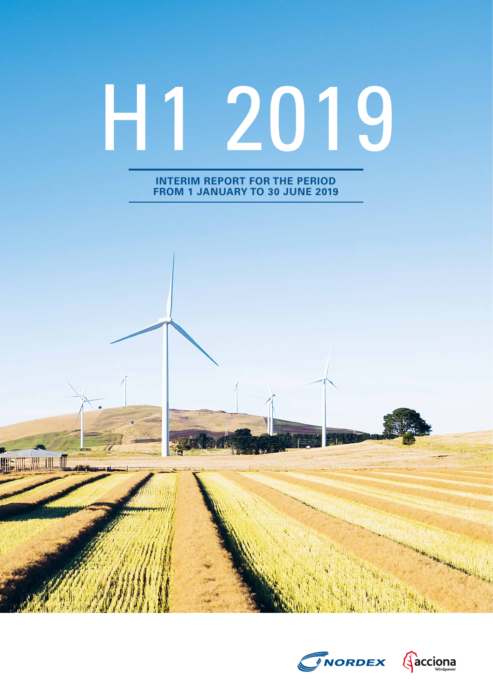# H1 2019

**INTERIM REPORT FOR THE PERIOD FROM 1 JANUARY TO 30 JUNE 2019**

**THE MIL MIL MIL** 



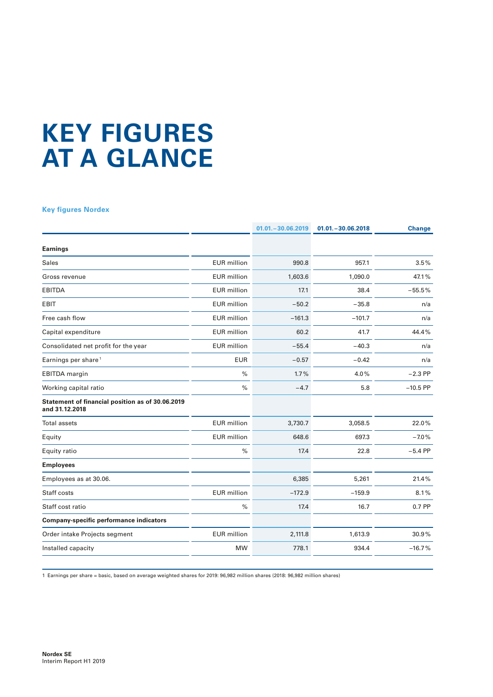# **KEY FIGURES AT A GLANCE**

#### **Key figures Nordex**

|                                                                    |                    | $01.01 - 30.06.2019$ | $01.01 - 30.06.2018$ | <b>Change</b> |
|--------------------------------------------------------------------|--------------------|----------------------|----------------------|---------------|
| <b>Earnings</b>                                                    |                    |                      |                      |               |
| <b>Sales</b>                                                       | <b>EUR</b> million | 990.8                | 957.1                | 3.5%          |
| Gross revenue                                                      | <b>EUR</b> million | 1,603.6              | 1,090.0              | 47.1%         |
| <b>EBITDA</b>                                                      | <b>EUR</b> million | 17.1                 | 38.4                 | $-55.5%$      |
| <b>EBIT</b>                                                        | <b>EUR</b> million | $-50.2$              | $-35.8$              | n/a           |
| Free cash flow                                                     | <b>EUR</b> million | $-161.3$             | $-101.7$             | n/a           |
| Capital expenditure                                                | <b>EUR</b> million | 60.2                 | 41.7                 | 44.4%         |
| Consolidated net profit for the year                               | <b>EUR</b> million | $-55.4$              | $-40.3$              | n/a           |
| Earnings per share <sup>1</sup>                                    | <b>EUR</b>         | $-0.57$              | $-0.42$              | n/a           |
| <b>EBITDA</b> margin                                               | $\%$               | 1.7%                 | 4.0%                 | $-2.3$ PP     |
| Working capital ratio                                              | $\%$               | $-4.7$               | 5.8                  | $-10.5$ PP    |
| Statement of financial position as of 30.06.2019<br>and 31.12.2018 |                    |                      |                      |               |
| <b>Total assets</b>                                                | <b>EUR</b> million | 3,730.7              | 3,058.5              | 22.0%         |
| Equity                                                             | <b>EUR</b> million | 648.6                | 697.3                | $-7.0%$       |
| Equity ratio                                                       | $\frac{0}{0}$      | 17.4                 | 22.8                 | $-5.4$ PP     |
| <b>Employees</b>                                                   |                    |                      |                      |               |
| Employees as at 30.06.                                             |                    | 6,385                | 5,261                | 21.4%         |
| Staff costs                                                        | <b>EUR</b> million | $-172.9$             | $-159.9$             | 8.1%          |
| Staff cost ratio                                                   | $\%$               | 17.4                 | 16.7                 | 0.7 PP        |
| <b>Company-specific performance indicators</b>                     |                    |                      |                      |               |
| Order intake Projects segment                                      | <b>EUR</b> million | 2,111.8              | 1,613.9              | 30.9%         |
| Installed capacity                                                 | <b>MW</b>          | 778.1                | 934.4                | $-16.7%$      |

1 Earnings per share = basic, based on average weighted shares for 2019: 96,982 million shares (2018: 96,982 million shares)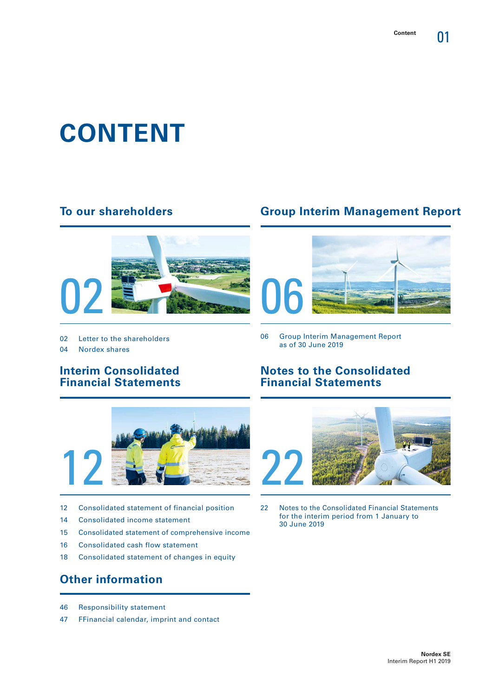01

# **CONTENT**

### **To our shareholders**



- 02 Letter to the shareholders
- 04 Nordex shares

### **Interim Consolidated Financial Statements**

![](_page_2_Picture_7.jpeg)

- 12 Consolidated statement of financial position
- 14 Consolidated income statement
- 15 Consolidated statement of comprehensive income
- 16 Consolidated cash flow statement
- 18 Consolidated statement of changes in equity

# **Other information**

- 46 Responsibility statement
- 47 FFinancial calendar, imprint and contact

# **Group Interim Management Report**

![](_page_2_Picture_17.jpeg)

06 Group Interim Management Report as of 30 June 2019

### **Notes to the Consolidated Financial Statements**

![](_page_2_Picture_20.jpeg)

22 Notes to the Consolidated Financial Statements for the interim period from 1 January to 30 June 2019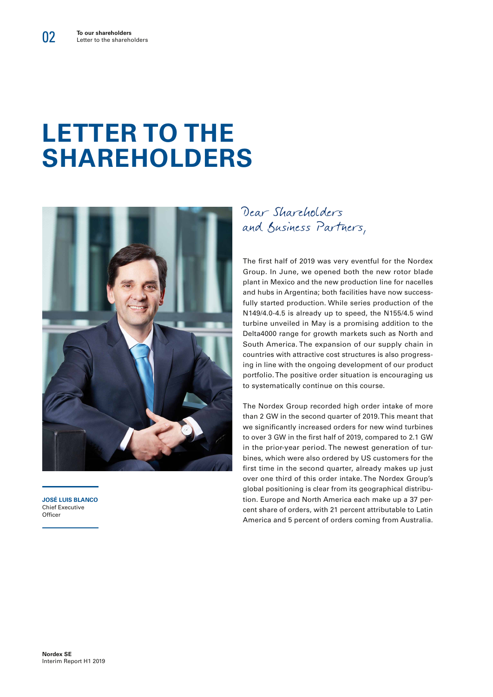# **LETTER TO THE SHAREHOLDERS**

![](_page_3_Picture_2.jpeg)

**JOSÉ LUIS BLANCO** Chief Executive Officer

Dear Shareholders and Business Partners,

The first half of 2019 was very eventful for the Nordex Group. In June, we opened both the new rotor blade plant in Mexico and the new production line for nacelles and hubs in Argentina; both facilities have now successfully started production. While series production of the N149/4.0-4.5 is already up to speed, the N155/4.5 wind turbine unveiled in May is a promising addition to the Delta4000 range for growth markets such as North and South America. The expansion of our supply chain in countries with attractive cost structures is also progressing in line with the ongoing development of our product portfolio. The positive order situation is encouraging us to systematically continue on this course.

The Nordex Group recorded high order intake of more than 2 GW in the second quarter of 2019. This meant that we significantly increased orders for new wind turbines to over 3 GW in the first half of 2019, compared to 2.1 GW in the prior-year period. The newest generation of turbines, which were also ordered by US customers for the first time in the second quarter, already makes up just over one third of this order intake. The Nordex Group's global positioning is clear from its geographical distribution. Europe and North America each make up a 37 percent share of orders, with 21 percent attributable to Latin America and 5 percent of orders coming from Australia.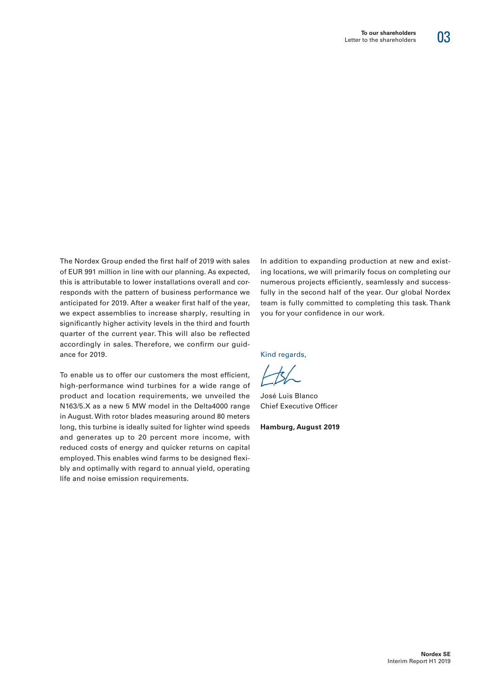# 03

The Nordex Group ended the first half of 2019 with sales of EUR 991 million in line with our planning. As expected, this is attributable to lower installations overall and corresponds with the pattern of business performance we anticipated for 2019. After a weaker first half of the year, we expect assemblies to increase sharply, resulting in significantly higher activity levels in the third and fourth quarter of the current year. This will also be reflected accordingly in sales. Therefore, we confirm our guidance for 2019.

To enable us to offer our customers the most efficient, high-performance wind turbines for a wide range of product and location requirements, we unveiled the N163/5.X as a new 5 MW model in the Delta4000 range in August. With rotor blades measuring around 80 meters long, this turbine is ideally suited for lighter wind speeds and generates up to 20 percent more income, with reduced costs of energy and quicker returns on capital employed. This enables wind farms to be designed flexibly and optimally with regard to annual yield, operating life and noise emission requirements.

In addition to expanding production at new and existing locations, we will primarily focus on completing our numerous projects efficiently, seamlessly and successfully in the second half of the year. Our global Nordex team is fully committed to completing this task. Thank you for your confidence in our work.

Kind regards,

José Luis Blanco Chief Executive Officer

**Hamburg, August 2019**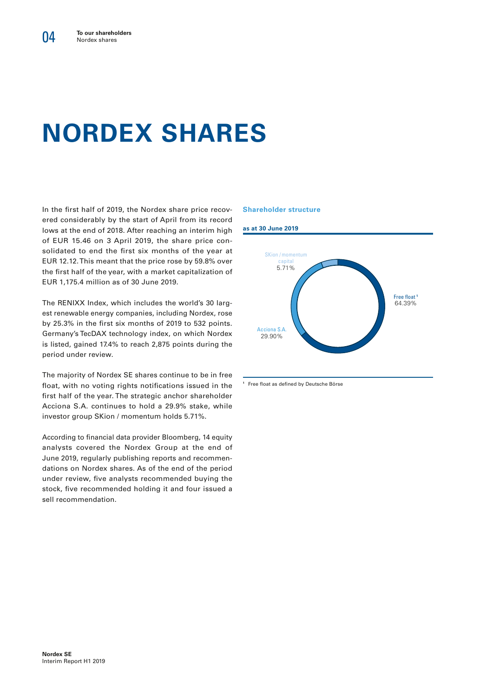# **NORDEX SHARES**

In the first half of 2019, the Nordex share price recovered considerably by the start of April from its record lows at the end of 2018. After reaching an interim high of EUR 15.46 on 3 April 2019, the share price consolidated to end the first six months of the year at EUR 12.12. This meant that the price rose by 59.8% over the first half of the year, with a market capitalization of EUR 1,175.4 million as of 30 June 2019.

The RENIXX Index, which includes the world's 30 largest renewable energy companies, including Nordex, rose by 25.3% in the first six months of 2019 to 532 points. Germany's TecDAX technology index, on which Nordex is listed, gained 17.4% to reach 2,875 points during the period under review.

The majority of Nordex SE shares continue to be in free float, with no voting rights notifications issued in the first half of the year. The strategic anchor shareholder Acciona S.A. continues to hold a 29.9% stake, while investor group SKion / momentum holds 5.71%.

According to financial data provider Bloomberg, 14 equity analysts covered the Nordex Group at the end of June 2019, regularly publishing reports and recommendations on Nordex shares. As of the end of the period under review, five analysts recommended buying the stock, five recommended holding it and four issued a sell recommendation.

#### **Shareholder structure**

![](_page_5_Figure_7.jpeg)

**<sup>1</sup>** Free float as defined by Deutsche Börse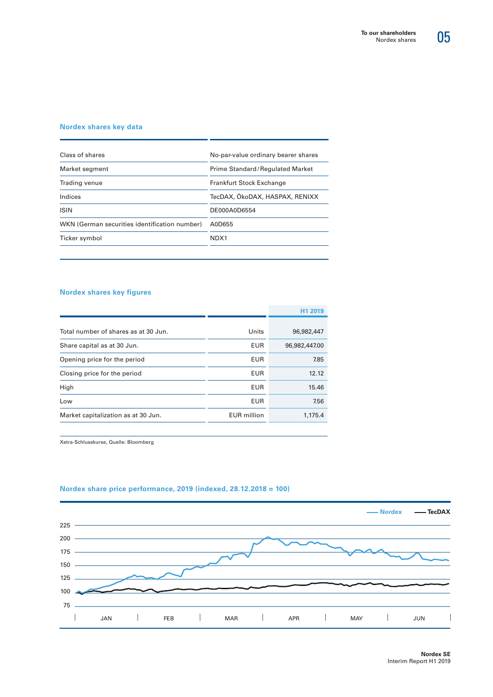![](_page_6_Picture_1.jpeg)

#### **Nordex shares key data**

| Class of shares                               | No-par-value ordinary bearer shares |  |  |
|-----------------------------------------------|-------------------------------------|--|--|
| Market segment                                | Prime Standard/Regulated Market     |  |  |
| Trading venue                                 | <b>Frankfurt Stock Exchange</b>     |  |  |
| Indices                                       | TecDAX, ÖkoDAX, HASPAX, RENIXX      |  |  |
| <b>ISIN</b>                                   | DE000A0D6554                        |  |  |
| WKN (German securities identification number) | A0D655                              |  |  |
| Ticker symbol                                 | NDX1                                |  |  |
|                                               |                                     |  |  |

#### **Nordex shares key figures**

|                                      |                    | H <sub>1</sub> 2019 |
|--------------------------------------|--------------------|---------------------|
| Total number of shares as at 30 Jun. | Units              | 96,982,447          |
| Share capital as at 30 Jun.          | EUR                | 96,982,447.00       |
| Opening price for the period         | EUR                | 7.85                |
| Closing price for the period         | <b>EUR</b>         | 12.12               |
| High                                 | EUR                | 15.46               |
| Low                                  | EUR                | 7.56                |
| Market capitalization as at 30 Jun.  | <b>EUR</b> million | 1,175.4             |

Xetra-Schlusskurse, Quelle: Bloomberg

![](_page_6_Figure_7.jpeg)

#### **Nordex share price performance, 2019 (indexed, 28.12.2018 = 100)**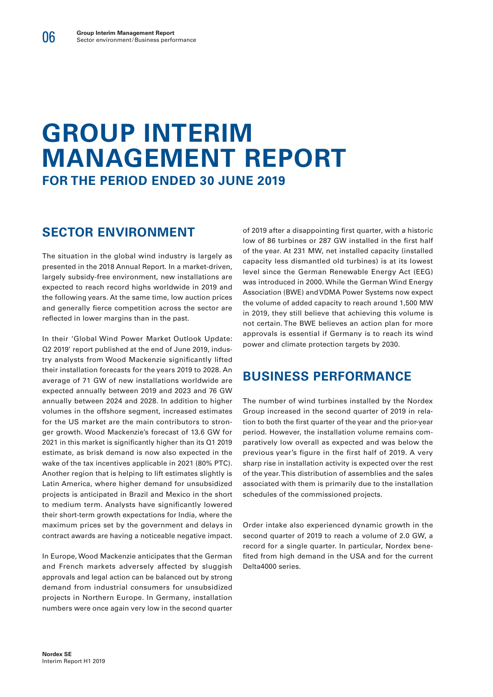# **GROUP INTERIM MANAGEMENT REPORT FOR THE PERIOD ENDED 30 JUNE 2019**

# **SECTOR ENVIRONMENT**

The situation in the global wind industry is largely as presented in the 2018 Annual Report. In a market-driven, largely subsidy-free environment, new installations are expected to reach record highs worldwide in 2019 and the following years. At the same time, low auction prices and generally fierce competition across the sector are reflected in lower margins than in the past.

In their 'Global Wind Power Market Outlook Update: Q2 2019' report published at the end of June 2019, industry analysts from Wood Mackenzie significantly lifted their installation forecasts for the years 2019 to 2028. An average of 71 GW of new installations worldwide are expected annually between 2019 and 2023 and 76 GW annually between 2024 and 2028. In addition to higher volumes in the offshore segment, increased estimates for the US market are the main contributors to stronger growth. Wood Mackenzie's forecast of 13.6 GW for 2021 in this market is significantly higher than its Q1 2019 estimate, as brisk demand is now also expected in the wake of the tax incentives applicable in 2021 (80% PTC). Another region that is helping to lift estimates slightly is Latin America, where higher demand for unsubsidized projects is anticipated in Brazil and Mexico in the short to medium term. Analysts have significantly lowered their short-term growth expectations for India, where the maximum prices set by the government and delays in contract awards are having a noticeable negative impact.

In Europe, Wood Mackenzie anticipates that the German and French markets adversely affected by sluggish approvals and legal action can be balanced out by strong demand from industrial consumers for unsubsidized projects in Northern Europe. In Germany, installation numbers were once again very low in the second quarter

of 2019 after a disappointing first quarter, with a historic low of 86 turbines or 287 GW installed in the first half of the year. At 231 MW, net installed capacity (installed capacity less dismantled old turbines) is at its lowest level since the German Renewable Energy Act (EEG) was introduced in 2000. While the German Wind Energy Association (BWE) and VDMA Power Systems now expect the volume of added capacity to reach around 1,500 MW in 2019, they still believe that achieving this volume is not certain. The BWE believes an action plan for more approvals is essential if Germany is to reach its wind power and climate protection targets by 2030.

# **BUSINESS PERFORMANCE**

The number of wind turbines installed by the Nordex Group increased in the second quarter of 2019 in relation to both the first quarter of the year and the prior-year period. However, the installation volume remains comparatively low overall as expected and was below the previous year's figure in the first half of 2019. A very sharp rise in installation activity is expected over the rest of the year. This distribution of assemblies and the sales associated with them is primarily due to the installation schedules of the commissioned projects.

Order intake also experienced dynamic growth in the second quarter of 2019 to reach a volume of 2.0 GW, a record for a single quarter. In particular, Nordex benefited from high demand in the USA and for the current Delta4000 series.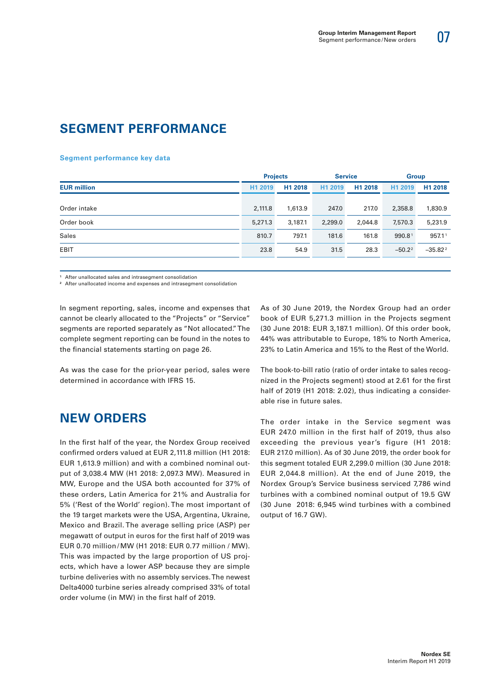# **SEGMENT PERFORMANCE**

#### **Segment performance key data**

|                    |         | <b>Projects</b> |         | <b>Service</b> |           | <b>Group</b>       |  |
|--------------------|---------|-----------------|---------|----------------|-----------|--------------------|--|
| <b>EUR million</b> | H1 2019 | H1 2018         | H1 2019 | H1 2018        | H1 2019   | H1 2018            |  |
| Order intake       | 2,111.8 | 1,613.9         | 247.0   | 217.0          | 2,358.8   | 1,830.9            |  |
| Order book         | 5,271.3 | 3,187.1         | 2,299.0 | 2,044.8        | 7,570.3   | 5,231.9            |  |
| <b>Sales</b>       | 810.7   | 797.1           | 181.6   | 161.8          | 990.81    | 957.1 <sup>1</sup> |  |
| <b>EBIT</b>        | 23.8    | 54.9            | 31.5    | 28.3           | $-50.2^2$ | $-35.82^2$         |  |
|                    |         |                 |         |                |           |                    |  |

**<sup>1</sup>** After unallocated sales and intrasegment consolidation

**<sup>2</sup>** After unallocated income and expenses and intrasegment consolidation

In segment reporting, sales, income and expenses that cannot be clearly allocated to the "Projects" or "Service" segments are reported separately as "Not allocated." The complete segment reporting can be found in the notes to the financial statements starting on page 26.

As was the case for the prior-year period, sales were determined in accordance with IFRS 15.

# **NEW ORDERS**

In the first half of the year, the Nordex Group received confirmed orders valued at EUR 2,111.8 million (H1 2018: EUR 1,613.9 million) and with a combined nominal output of 3,038.4 MW (H1 2018: 2,097.3 MW). Measured in MW, Europe and the USA both accounted for 37% of these orders, Latin America for 21% and Australia for 5% ('Rest of the World' region). The most important of the 19 target markets were the USA, Argentina, Ukraine, Mexico and Brazil. The average selling price (ASP) per megawatt of output in euros for the first half of 2019 was EUR 0.70 million /MW (H1 2018: EUR 0.77 million / MW). This was impacted by the large proportion of US projects, which have a lower ASP because they are simple turbine deliveries with no assembly services. The newest Delta4000 turbine series already comprised 33% of total order volume (in MW) in the first half of 2019.

As of 30 June 2019, the Nordex Group had an order book of EUR 5,271.3 million in the Projects segment (30 June 2018: EUR 3,187.1 million). Of this order book, 44% was attributable to Europe, 18% to North America, 23% to Latin America and 15% to the Rest of the World.

The book-to-bill ratio (ratio of order intake to sales recognized in the Projects segment) stood at 2.61 for the first half of 2019 (H1 2018: 2.02), thus indicating a considerable rise in future sales.

The order intake in the Service segment was EUR 247.0 million in the first half of 2019, thus also exceeding the previous year's figure (H1 2018: EUR 217.0 million). As of 30 June 2019, the order book for this segment totaled EUR 2,299.0 million (30 June 2018: EUR 2,044.8 million). At the end of June 2019, the Nordex Group's Service business serviced 7,786 wind turbines with a combined nominal output of 19.5 GW (30 June 2018: 6,945 wind turbines with a combined output of 16.7 GW).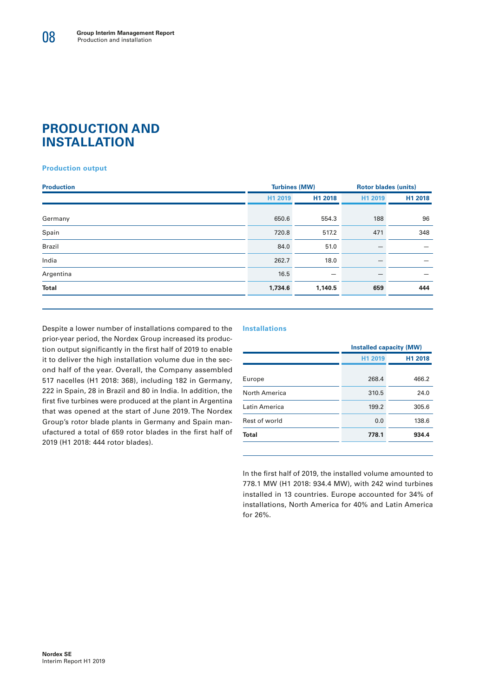### **PRODUCTION AND INSTALLATION**

#### **Production output**

|         |                          | <b>Rotor blades (units)</b> |         |  |
|---------|--------------------------|-----------------------------|---------|--|
| H1 2019 | H1 2018                  | H1 2019                     | H1 2018 |  |
| 650.6   | 554.3                    | 188                         | 96      |  |
| 720.8   | 517.2                    | 471                         | 348     |  |
| 84.0    | 51.0                     |                             |         |  |
| 262.7   | 18.0                     |                             |         |  |
| 16.5    | $\overline{\phantom{m}}$ |                             | —       |  |
| 1,734.6 | 1,140.5                  | 659                         | 444     |  |
|         |                          | <b>Turbines (MW)</b>        |         |  |

Despite a lower number of installations compared to the prior-year period, the Nordex Group increased its production output significantly in the first half of 2019 to enable it to deliver the high installation volume due in the second half of the year. Overall, the Company assembled 517 nacelles (H1 2018: 368), including 182 in Germany, 222 in Spain, 28 in Brazil and 80 in India. In addition, the first five turbines were produced at the plant in Argentina that was opened at the start of June 2019. The Nordex Group's rotor blade plants in Germany and Spain manufactured a total of 659 rotor blades in the first half of 2019 (H1 2018: 444 rotor blades).

#### **Installations**

|               | <b>Installed capacity (MW)</b> |         |  |  |
|---------------|--------------------------------|---------|--|--|
|               | H1 2019                        | H1 2018 |  |  |
| Europe        | 268.4                          | 466.2   |  |  |
| North America | 310.5                          | 24.0    |  |  |
| Latin America | 199.2                          | 305.6   |  |  |
| Rest of world | 0.0                            | 138.6   |  |  |
| Total         | 778.1                          | 934.4   |  |  |
|               |                                |         |  |  |

In the first half of 2019, the installed volume amounted to 778.1 MW (H1 2018: 934.4 MW), with 242 wind turbines installed in 13 countries. Europe accounted for 34% of installations, North America for 40% and Latin America for 26%.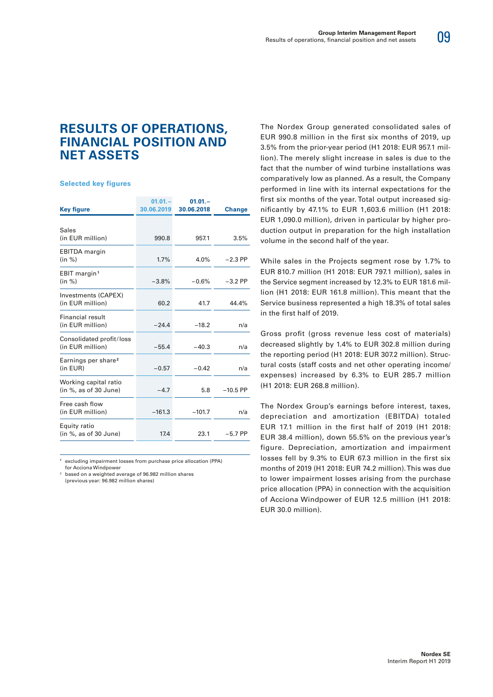### 09

### **RESULTS OF OPERATIONS, FINANCIAL POSITION AND NET ASSETS**

#### **Selected key figures**

|                                                | $01.01 -$  | $01.01 -$  |               |
|------------------------------------------------|------------|------------|---------------|
| <b>Key figure</b>                              | 30.06.2019 | 30.06.2018 | <b>Change</b> |
| <b>Sales</b><br>(in EUR million)               | 990.8      | 957.1      | 3.5%          |
| <b>EBITDA</b> margin<br>(in %)                 | 1.7%       | 4.0%       | $-2.3$ PP     |
| EBIT margin <sup>1</sup><br>(in %)             | $-3.8%$    | $-0.6%$    | $-3.2$ PP     |
| Investments (CAPEX)<br>(in EUR million)        | 60.2       | 41.7       | 44.4%         |
| Financial result<br>(in EUR million)           | $-24.4$    | $-18.2$    | n/a           |
| Consolidated profit/loss<br>(in EUR million)   | $-55.4$    | $-40.3$    | n/a           |
| Earnings per share <sup>2</sup><br>(in EUR)    | $-0.57$    | $-0.42$    | n/a           |
| Working capital ratio<br>(in %, as of 30 June) | $-4.7$     | 5.8        | $-10.5$ PP    |
| Free cash flow<br>(in EUR million)             | $-161.3$   | $-101.7$   | n/a           |
| Equity ratio<br>(in %, as of 30 June)          | 17.4       | 23.1       | $-5.7$ PP     |

**1** excluding impairment losses from purchase price allocation (PPA) for Acciona Windpower

2 based on a weighted average of 96.982 million shares (previous year: 96.982 million shares)

The Nordex Group generated consolidated sales of EUR 990.8 million in the first six months of 2019, up 3.5% from the prior-year period (H1 2018: EUR 957.1 million). The merely slight increase in sales is due to the fact that the number of wind turbine installations was comparatively low as planned. As a result, the Company performed in line with its internal expectations for the first six months of the year. Total output increased significantly by 47.1% to EUR 1,603.6 million (H1 2018: EUR 1,090.0 million), driven in particular by higher production output in preparation for the high installation volume in the second half of the year.

While sales in the Projects segment rose by 1.7% to EUR 810.7 million (H1 2018: EUR 797.1 million), sales in the Service segment increased by 12.3% to EUR 181.6 million (H1 2018: EUR 161.8 million). This meant that the Service business represented a high 18.3% of total sales in the first half of 2019.

Gross profit (gross revenue less cost of materials) decreased slightly by 1.4% to EUR 302.8 million during the reporting period (H1 2018: EUR 307.2 million). Structural costs (staff costs and net other operating income/ expenses) increased by 6.3% to EUR 285.7 million (H1 2018: EUR 268.8 million).

The Nordex Group's earnings before interest, taxes, depreciation and amortization (EBITDA) totaled EUR 17.1 million in the first half of 2019 (H1 2018: EUR 38.4 million), down 55.5% on the previous year's figure. Depreciation, amortization and impairment losses fell by 9.3% to EUR 67.3 million in the first six months of 2019 (H1 2018: EUR 74.2 million). This was due to lower impairment losses arising from the purchase price allocation (PPA) in connection with the acquisition of Acciona Windpower of EUR 12.5 million (H1 2018: EUR 30.0 million).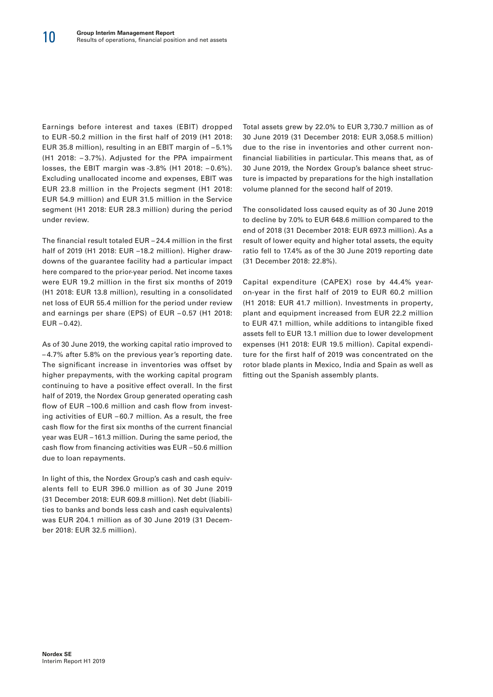Earnings before interest and taxes (EBIT) dropped to EUR -50.2 million in the first half of 2019 (H1 2018: EUR 35.8 million), resulting in an EBIT margin of – 5.1% (H1 2018: – 3.7%). Adjusted for the PPA impairment losses, the EBIT margin was -3.8% (H1 2018: – 0.6%). Excluding unallocated income and expenses, EBIT was EUR 23.8 million in the Projects segment (H1 2018: EUR 54.9 million) and EUR 31.5 million in the Service segment (H1 2018: EUR 28.3 million) during the period under review.

The financial result totaled EUR – 24.4 million in the first half of 2019 (H1 2018: EUR –18.2 million). Higher drawdowns of the guarantee facility had a particular impact here compared to the prior-year period. Net income taxes were EUR 19.2 million in the first six months of 2019 (H1 2018: EUR 13.8 million), resulting in a consolidated net loss of EUR 55.4 million for the period under review and earnings per share (EPS) of EUR – 0.57 (H1 2018:  $EUR - 0.42$ ).

As of 30 June 2019, the working capital ratio improved to – 4.7% after 5.8% on the previous year's reporting date. The significant increase in inventories was offset by higher prepayments, with the working capital program continuing to have a positive effect overall. In the first half of 2019, the Nordex Group generated operating cash flow of EUR –100.6 million and cash flow from investing activities of EUR – 60.7 million. As a result, the free cash flow for the first six months of the current financial year was EUR – 161.3 million. During the same period, the cash flow from financing activities was EUR – 50.6 million due to loan repayments.

In light of this, the Nordex Group's cash and cash equivalents fell to EUR 396.0 million as of 30 June 2019 (31 December 2018: EUR 609.8 million). Net debt (liabilities to banks and bonds less cash and cash equivalents) was EUR 204.1 million as of 30 June 2019 (31 December 2018: EUR 32.5 million).

Total assets grew by 22.0% to EUR 3,730.7 million as of 30 June 2019 (31 December 2018: EUR 3,058.5 million) due to the rise in inventories and other current nonfinancial liabilities in particular. This means that, as of 30 June 2019, the Nordex Group's balance sheet structure is impacted by preparations for the high installation volume planned for the second half of 2019.

The consolidated loss caused equity as of 30 June 2019 to decline by 7.0% to EUR 648.6 million compared to the end of 2018 (31 December 2018: EUR 697.3 million). As a result of lower equity and higher total assets, the equity ratio fell to 17.4% as of the 30 June 2019 reporting date (31 December 2018: 22.8%).

Capital expenditure (CAPEX) rose by 44.4% yearon-year in the first half of 2019 to EUR 60.2 million (H1 2018: EUR 41.7 million). Investments in property, plant and equipment increased from EUR 22.2 million to EUR 47.1 million, while additions to intangible fixed assets fell to EUR 13.1 million due to lower development expenses (H1 2018: EUR 19.5 million). Capital expenditure for the first half of 2019 was concentrated on the rotor blade plants in Mexico, India and Spain as well as fitting out the Spanish assembly plants.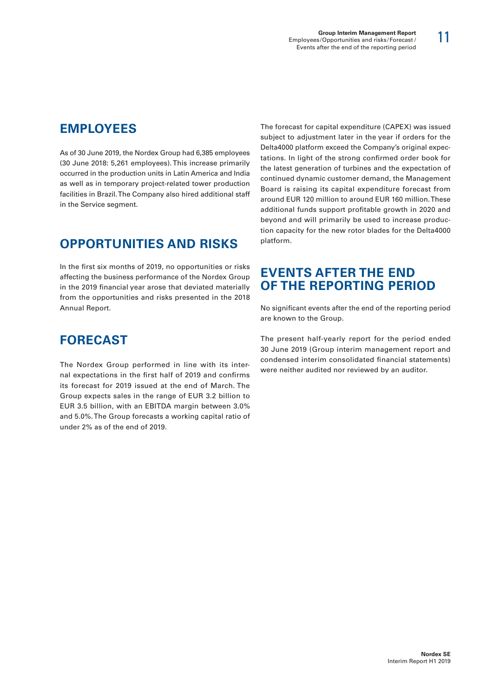## **EMPLOYEES**

As of 30 June 2019, the Nordex Group had 6,385 employees (30 June 2018: 5,261 employees). This increase primarily occurred in the production units in Latin America and India as well as in temporary project-related tower production facilities in Brazil. The Company also hired additional staff in the Service segment.

# **OPPORTUNITIES AND RISKS**

In the first six months of 2019, no opportunities or risks affecting the business performance of the Nordex Group in the 2019 financial year arose that deviated materially from the opportunities and risks presented in the 2018 Annual Report.

# **FORECAST**

The Nordex Group performed in line with its internal expectations in the first half of 2019 and confirms its forecast for 2019 issued at the end of March. The Group expects sales in the range of EUR 3.2 billion to EUR 3.5 billion, with an EBITDA margin between 3.0% and 5.0%. The Group forecasts a working capital ratio of under 2% as of the end of 2019.

The forecast for capital expenditure (CAPEX) was issued subject to adjustment later in the year if orders for the Delta4000 platform exceed the Company's original expectations. In light of the strong confirmed order book for the latest generation of turbines and the expectation of continued dynamic customer demand, the Management Board is raising its capital expenditure forecast from around EUR 120 million to around EUR 160 million. These additional funds support profitable growth in 2020 and beyond and will primarily be used to increase production capacity for the new rotor blades for the Delta4000 platform.

### **EVENTS AFTER THE END OF THE REPORTING PERIOD**

No significant events after the end of the reporting period are known to the Group.

The present half-yearly report for the period ended 30 June 2019 (Group interim management report and condensed interim consolidated financial statements) were neither audited nor reviewed by an auditor.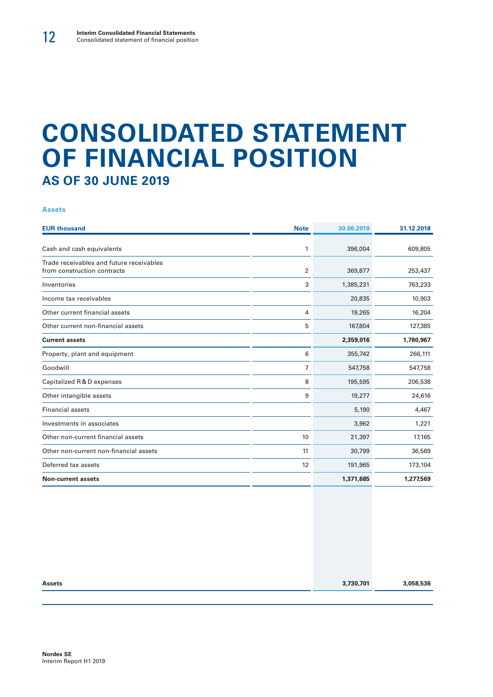# **CONSOLIDATED STATEMENT OF FINANCIAL POSITION AS OF 30 JUNE 2019**

#### **Assets**

| <b>EUR thousand</b>                                                     | <b>Note</b> | 30.06.2019 | 31.12.2018 |
|-------------------------------------------------------------------------|-------------|------------|------------|
| Cash and cash equivalents                                               | 1           | 396,004    | 609,805    |
| Trade receivables and future receivables<br>from construction contracts | 2           | 369,877    | 253,437    |
| Inventories                                                             | 3           | 1,385,231  | 763,233    |
| Income tax receivables                                                  |             | 20,835     | 10,903     |
| Other current financial assets                                          | 4           | 19,265     | 16,204     |
| Other current non-financial assets                                      | 5           | 167,804    | 127,385    |
| <b>Current assets</b>                                                   |             | 2,359,016  | 1,780,967  |
| Property, plant and equipment                                           | 6           | 355,742    | 266,111    |
| Goodwill                                                                | 7           | 547,758    | 547,758    |
| Capitalized R&D expenses                                                | 8           | 195,595    | 206,538    |
| Other intangible assets                                                 | 9           | 19,277     | 24,616     |
| <b>Financial assets</b>                                                 |             | 5,190      | 4,467      |
| Investments in associates                                               |             | 3,962      | 1,221      |
| Other non-current financial assets                                      | 10          | 21,397     | 17,165     |
| Other non-current non-financial assets                                  | 11          | 30,799     | 36,589     |
| Deferred tax assets                                                     | 12          | 191,965    | 173,104    |
| <b>Non-current assets</b>                                               |             | 1,371,685  | 1,277,569  |

| <b>Assets</b> | 3,730,701 | 3,058,536 |
|---------------|-----------|-----------|
|               |           |           |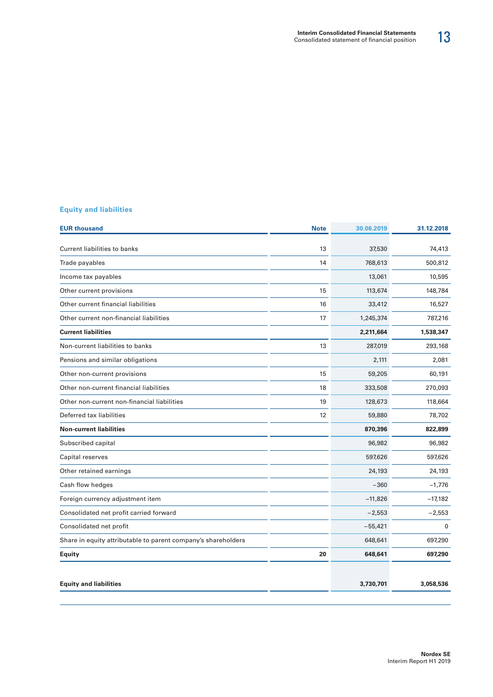#### **Equity and liabilities**

| <b>Note</b> | 30.06.2019 | 31.12.2018   |
|-------------|------------|--------------|
| 13          |            | 74,413       |
| 14          | 768,613    | 500,812      |
|             | 13,061     | 10,595       |
| 15          | 113,674    | 148,784      |
| 16          | 33,412     | 16,527       |
| 17          | 1,245,374  | 787,216      |
|             | 2,211,664  | 1,538,347    |
| 13          | 287,019    | 293,168      |
|             | 2,111      | 2,081        |
| 15          | 59,205     | 60,191       |
| 18          | 333,508    | 270,093      |
| 19          | 128,673    | 118,664      |
| 12          | 59,880     | 78,702       |
|             | 870,396    | 822,899      |
|             | 96,982     | 96,982       |
|             | 597,626    | 597,626      |
|             | 24,193     | 24,193       |
|             | $-360$     | $-1,776$     |
|             | $-11,826$  | $-17,182$    |
|             | $-2,553$   | $-2,553$     |
|             | $-55,421$  | $\mathbf{0}$ |
|             | 648,641    | 697,290      |
| 20          | 648,641    | 697,290      |
|             |            |              |
|             | 3,730,701  | 3,058,536    |
|             |            | 37,530       |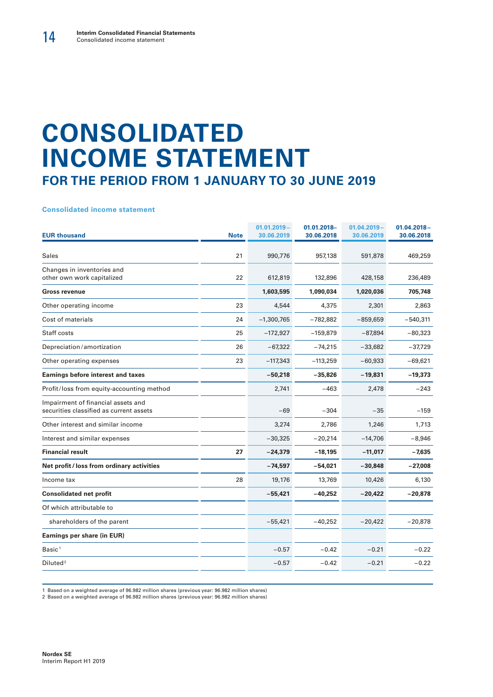# **CONSOLIDATED INCOME STATEMENT FOR THE PERIOD FROM 1 JANUARY TO 30 JUNE 2019**

**Consolidated income statement**

| <b>EUR thousand</b>                                                           | <b>Note</b> | $01.01.2019 -$<br>30.06.2019 | 01.01.2018-<br>30.06.2018 | $01.04.2019 -$<br>30.06.2019 | $01.04.2018 -$<br>30.06.2018 |
|-------------------------------------------------------------------------------|-------------|------------------------------|---------------------------|------------------------------|------------------------------|
| <b>Sales</b>                                                                  | 21          | 990,776                      | 957,138                   | 591,878                      | 469,259                      |
| Changes in inventories and<br>other own work capitalized                      | 22          | 612,819                      | 132,896                   | 428,158                      | 236,489                      |
| <b>Gross revenue</b>                                                          |             | 1,603,595                    | 1,090,034                 | 1,020,036                    | 705,748                      |
| Other operating income                                                        | 23          | 4,544                        | 4,375                     | 2,301                        | 2,863                        |
| Cost of materials                                                             | 24          | $-1,300,765$                 | $-782,882$                | $-859,659$                   | $-540,311$                   |
| Staff costs                                                                   | 25          | $-172,927$                   | $-159,879$                | $-87,894$                    | $-80,323$                    |
| Depreciation/amortization                                                     | 26          | $-67,322$                    | $-74,215$                 | $-33,682$                    | $-37,729$                    |
| Other operating expenses                                                      | 23          | $-117,343$                   | $-113,259$                | $-60,933$                    | $-69,621$                    |
| <b>Earnings before interest and taxes</b>                                     |             | $-50,218$                    | $-35,826$                 | $-19,831$                    | $-19,373$                    |
| Profit/loss from equity-accounting method                                     |             | 2,741                        | $-463$                    | 2,478                        | $-243$                       |
| Impairment of financial assets and<br>securities classified as current assets |             | $-69$                        | $-304$                    | $-35$                        | $-159$                       |
| Other interest and similar income                                             |             | 3,274                        | 2,786                     | 1,246                        | 1,713                        |
| Interest and similar expenses                                                 |             | $-30,325$                    | $-20,214$                 | $-14,706$                    | $-8,946$                     |
| <b>Financial result</b>                                                       | 27          | $-24,379$                    | $-18,195$                 | $-11,017$                    | $-7,635$                     |
| Net profit / loss from ordinary activities                                    |             | $-74,597$                    | $-54,021$                 | $-30,848$                    | $-27,008$                    |
| Income tax                                                                    | 28          | 19,176                       | 13,769                    | 10,426                       | 6,130                        |
| <b>Consolidated net profit</b>                                                |             | $-55,421$                    | $-40,252$                 | $-20,422$                    | $-20,878$                    |
| Of which attributable to                                                      |             |                              |                           |                              |                              |
| shareholders of the parent                                                    |             | $-55,421$                    | $-40,252$                 | $-20,422$                    | $-20,878$                    |
| Earnings per share (in EUR)                                                   |             |                              |                           |                              |                              |
| Basic <sup>1</sup>                                                            |             | $-0.57$                      | $-0.42$                   | $-0.21$                      | $-0.22$                      |
| Diluted <sup>2</sup>                                                          |             | $-0.57$                      | $-0.42$                   | $-0.21$                      | $-0.22$                      |

1 Based on a weighted average of 96.982 million shares (previous year: 96.982 million shares)

2 Based on a weighted average of 96.982 million shares (previous year: 96.982 million shares)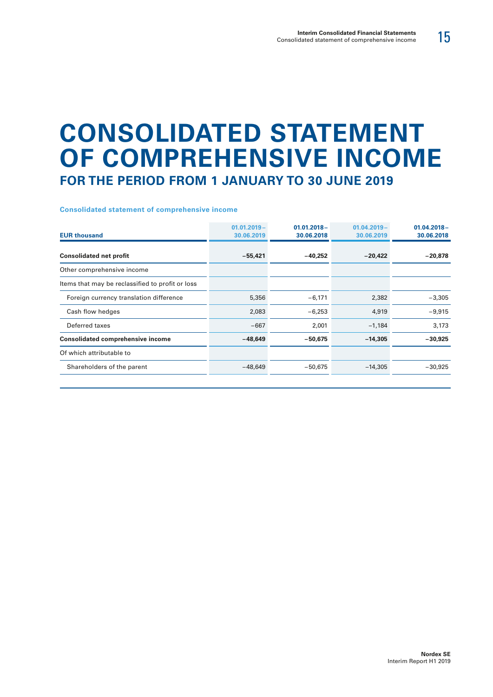# **CONSOLIDATED STATEMENT OF COMPREHENSIVE INCOME FOR THE PERIOD FROM 1 JANUARY TO 30 JUNE 2019**

#### **Consolidated statement of comprehensive income**

| <b>EUR thousand</b>                              | $01.01.2019 -$<br>30.06.2019 | $01.01.2018 -$<br>30.06.2018 | $01.04.2019 -$<br>30.06.2019 | $01.04.2018 -$<br>30.06.2018 |
|--------------------------------------------------|------------------------------|------------------------------|------------------------------|------------------------------|
| <b>Consolidated net profit</b>                   | $-55,421$                    | -40,252                      | $-20,422$                    | $-20,878$                    |
| Other comprehensive income                       |                              |                              |                              |                              |
| Items that may be reclassified to profit or loss |                              |                              |                              |                              |
| Foreign currency translation difference          | 5,356                        | $-6,171$                     | 2,382                        | $-3,305$                     |
| Cash flow hedges                                 | 2,083                        | $-6,253$                     | 4,919                        | $-9,915$                     |
| Deferred taxes                                   | $-667$                       | 2,001                        | $-1,184$                     | 3,173                        |
| <b>Consolidated comprehensive income</b>         | $-48,649$                    | $-50,675$                    | $-14,305$                    | $-30,925$                    |
| Of which attributable to                         |                              |                              |                              |                              |
| Shareholders of the parent                       | $-48,649$                    | $-50,675$                    | $-14,305$                    | $-30,925$                    |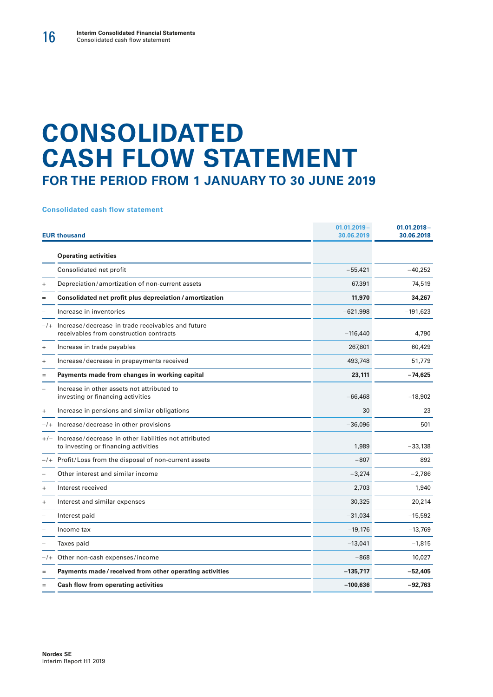# **CONSOLIDATED CASH FLOW STATEMENT FOR THE PERIOD FROM 1 JANUARY TO 30 JUNE 2019**

#### **Consolidated cash flow statement**

|           | <b>EUR thousand</b>                                                                           | $01.01.2019 -$<br>30.06.2019 | $01.01.2018 -$<br>30.06.2018 |
|-----------|-----------------------------------------------------------------------------------------------|------------------------------|------------------------------|
|           | <b>Operating activities</b>                                                                   |                              |                              |
|           | Consolidated net profit                                                                       | $-55,421$                    | $-40,252$                    |
| $\ddot{}$ | Depreciation/amortization of non-current assets                                               | 67,391                       | 74,519                       |
| =         | Consolidated net profit plus depreciation / amortization                                      | 11,970                       | 34,267                       |
|           | Increase in inventories                                                                       | $-621,998$                   | $-191,623$                   |
| $-1$      | Increase/decrease in trade receivables and future<br>receivables from construction contracts  | $-116,440$                   | 4,790                        |
| $\ddot{}$ | Increase in trade payables                                                                    | 267,801                      | 60,429                       |
| $\ddot{}$ | Increase/decrease in prepayments received                                                     | 493,748                      | 51,779                       |
| $=$       | Payments made from changes in working capital                                                 | 23,111                       | $-74,625$                    |
|           | Increase in other assets not attributed to<br>investing or financing activities               | $-66,468$                    | $-18,902$                    |
| $\ddot{}$ | Increase in pensions and similar obligations                                                  | 30                           | 23                           |
| $-/+$     | Increase/decrease in other provisions                                                         | $-36,096$                    | 501                          |
| $+/-$     | Increase/decrease in other liabilities not attributed<br>to investing or financing activities | 1.989                        | $-33,138$                    |
|           | $-/+$ Profit/Loss from the disposal of non-current assets                                     | $-807$                       | 892                          |
|           | Other interest and similar income                                                             | $-3,274$                     | $-2,786$                     |
| $\ddot{}$ | Interest received                                                                             | 2,703                        | 1,940                        |
| $+$       | Interest and similar expenses                                                                 | 30,325                       | 20,214                       |
|           | Interest paid                                                                                 | $-31,034$                    | $-15,592$                    |
|           | Income tax                                                                                    | $-19,176$                    | $-13,769$                    |
|           | Taxes paid                                                                                    | $-13,041$                    | $-1,815$                     |
| $-/+$     | Other non-cash expenses/income                                                                | $-868$                       | 10,027                       |
| Ξ         | Payments made/received from other operating activities                                        | $-135,717$                   | $-52,405$                    |
| $=$       | Cash flow from operating activities                                                           | $-100,636$                   | $-92,763$                    |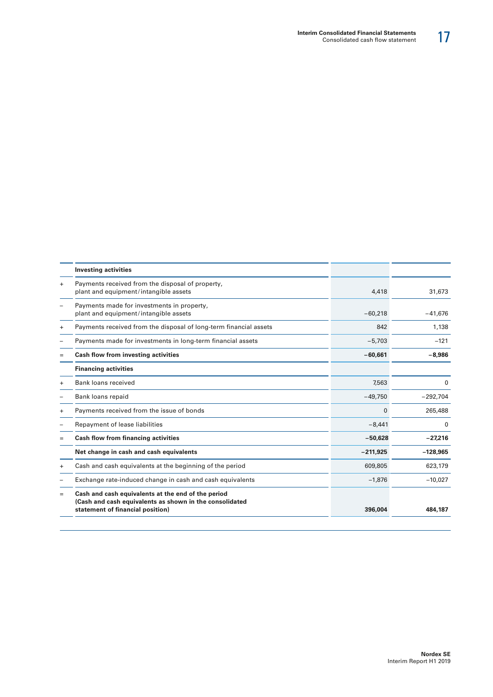| <b>Investing activities</b>                                                                                                                       |            |            |
|---------------------------------------------------------------------------------------------------------------------------------------------------|------------|------------|
| Payments received from the disposal of property,<br>plant and equipment/intangible assets                                                         | 4,418      | 31,673     |
| Payments made for investments in property,<br>plant and equipment/intangible assets                                                               | $-60,218$  | $-41,676$  |
| Payments received from the disposal of long-term financial assets                                                                                 | 842        | 1,138      |
| Payments made for investments in long-term financial assets                                                                                       | $-5,703$   | $-121$     |
| Cash flow from investing activities                                                                                                               | $-60,661$  | $-8,986$   |
| <b>Financing activities</b>                                                                                                                       |            |            |
| Bank loans received                                                                                                                               | 7,563      | 0          |
| Bank loans repaid                                                                                                                                 | $-49,750$  | $-292,704$ |
| Payments received from the issue of bonds                                                                                                         | $\Omega$   | 265,488    |
| Repayment of lease liabilities                                                                                                                    | $-8,441$   | 0          |
| Cash flow from financing activities                                                                                                               | $-50,628$  | $-27,216$  |
| Net change in cash and cash equivalents                                                                                                           | $-211.925$ | $-128,965$ |
| Cash and cash equivalents at the beginning of the period                                                                                          | 609,805    | 623,179    |
| Exchange rate-induced change in cash and cash equivalents                                                                                         | $-1.876$   | $-10.027$  |
| Cash and cash equivalents at the end of the period<br>(Cash and cash equivalents as shown in the consolidated<br>statement of financial position) | 396,004    | 484.187    |
|                                                                                                                                                   |            |            |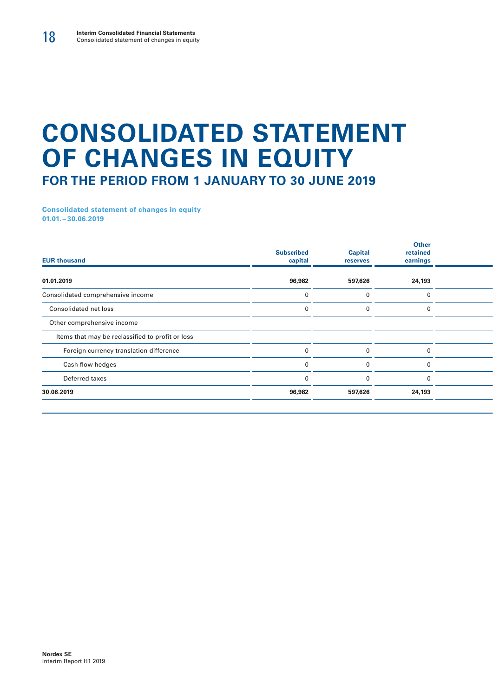# **CONSOLIDATED STATEMENT OF CHANGES IN EQUITY FOR THE PERIOD FROM 1 JANUARY TO 30 JUNE 2019**

**Consolidated statement of changes in equity 01.01. – 30.06.2019**

| <b>EUR thousand</b>                              | <b>Subscribed</b><br>capital | <b>Capital</b><br>reserves | <b>Other</b><br>retained<br>earnings |  |
|--------------------------------------------------|------------------------------|----------------------------|--------------------------------------|--|
| 01.01.2019                                       | 96,982                       | 597,626                    | 24,193                               |  |
| Consolidated comprehensive income                |                              |                            | $\Omega$                             |  |
| Consolidated net loss                            |                              |                            |                                      |  |
| Other comprehensive income                       |                              |                            |                                      |  |
| Items that may be reclassified to profit or loss |                              |                            |                                      |  |
| Foreign currency translation difference          |                              |                            | 0                                    |  |
| Cash flow hedges                                 |                              |                            | $\Omega$                             |  |
| Deferred taxes                                   |                              | $\Omega$                   | $\Omega$                             |  |
| 30.06.2019                                       | 96,982                       | 597,626                    | 24,193                               |  |
|                                                  |                              |                            |                                      |  |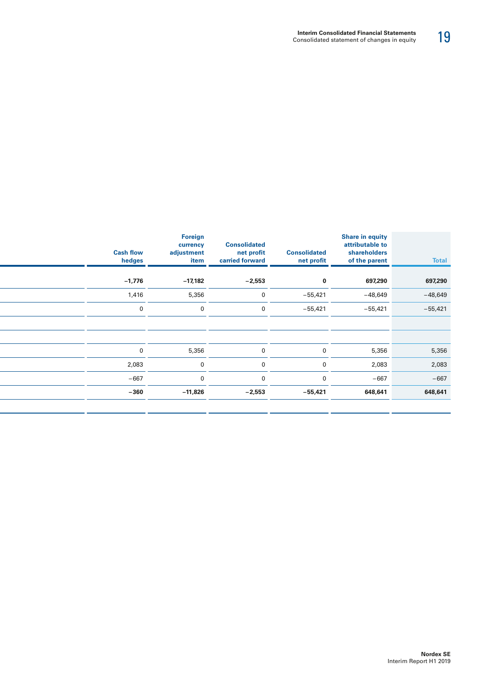| <b>Total</b> | Share in equity<br>attributable to<br>shareholders<br>of the parent | <b>Consolidated</b><br>net profit | <b>Consolidated</b><br>net profit<br>carried forward | Foreign<br>currency<br>adjustment<br>item | <b>Cash flow</b><br>hedges |
|--------------|---------------------------------------------------------------------|-----------------------------------|------------------------------------------------------|-------------------------------------------|----------------------------|
| 697,290      | 697,290                                                             | $\bf{0}$                          | $-2,553$                                             | $-17,182$                                 | $-1,776$                   |
| $-48,649$    | $-48,649$                                                           | $-55,421$                         | $\mathbf 0$                                          | 5,356                                     | 1,416                      |
| $-55,421$    | $-55,421$                                                           | $-55,421$                         | $\Omega$                                             | $\mathbf{0}$                              | 0                          |
|              |                                                                     |                                   |                                                      |                                           |                            |
|              |                                                                     |                                   |                                                      |                                           |                            |
| 5,356        | 5,356                                                               | $\overline{0}$                    | $\overline{0}$                                       | 5,356                                     | $\mathbf 0$                |
| 2,083        | 2,083                                                               | $\overline{0}$                    | $\Omega$                                             |                                           | 2,083                      |
| $-667$       | $-667$                                                              | $\overline{0}$                    | $\Omega$                                             | $\Omega$                                  | $-667$                     |
| 648,641      | 648,641                                                             | $-55,421$                         | $-2,553$                                             | $-11,826$                                 | $-360$                     |
|              |                                                                     |                                   |                                                      |                                           |                            |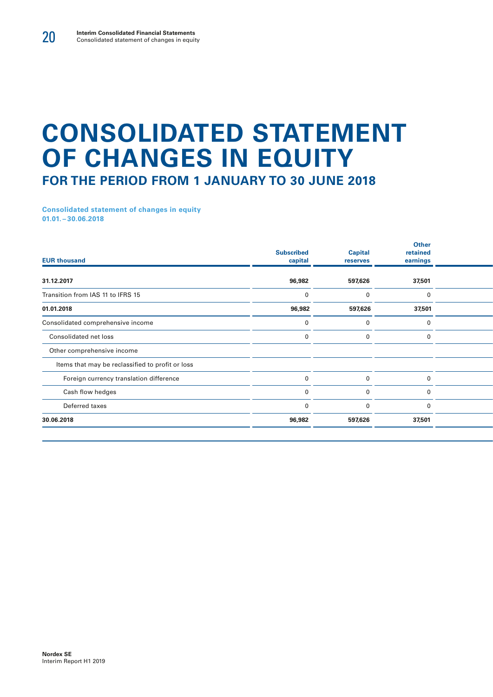# **CONSOLIDATED STATEMENT OF CHANGES IN EQUITY FOR THE PERIOD FROM 1 JANUARY TO 30 JUNE 2018**

**Consolidated statement of changes in equity 01.01. – 30.06.2018**

| <b>Subscribed</b><br>capital | <b>Capital</b><br>reserves | Other<br>retained<br>earnings |  |
|------------------------------|----------------------------|-------------------------------|--|
| 96,982                       | 597,626                    | 37,501                        |  |
|                              |                            | $\mathbf{0}$                  |  |
| 96,982                       | 597,626                    | 37,501                        |  |
|                              |                            | $\Omega$                      |  |
|                              |                            | $\Omega$                      |  |
|                              |                            |                               |  |
|                              |                            |                               |  |
|                              |                            | $\Omega$                      |  |
|                              |                            |                               |  |
|                              |                            | $\Omega$                      |  |
| 96,982                       | 597,626                    | 37,501                        |  |
|                              |                            |                               |  |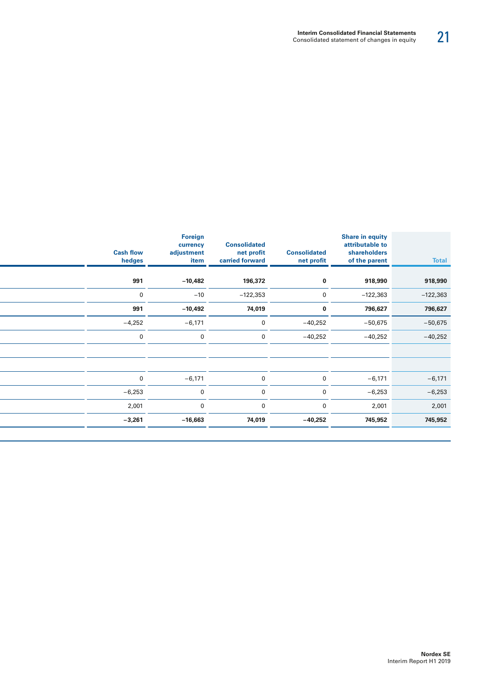| <b>Total</b> | Share in equity<br>attributable to<br>shareholders<br>of the parent | <b>Consolidated</b><br>net profit | <b>Consolidated</b><br>net profit<br>carried forward | Foreign<br>currency<br>adjustment<br>item | <b>Cash flow</b><br>hedges |
|--------------|---------------------------------------------------------------------|-----------------------------------|------------------------------------------------------|-------------------------------------------|----------------------------|
| 918,990      | 918,990                                                             | $\mathbf{0}$                      | 196,372                                              | $-10,482$                                 | 991                        |
|              |                                                                     |                                   |                                                      |                                           |                            |
| $-122,363$   | $-122,363$                                                          | $\overline{0}$                    | $-122,353$                                           | $-10$                                     | $\mathbf{0}$               |
| 796,627      | 796,627                                                             | $\mathbf 0$                       | 74,019                                               | $-10,492$                                 | 991                        |
| $-50,675$    | $-50,675$                                                           | $-40,252$                         | $\mathbf 0$                                          | $-6,171$                                  | $-4,252$                   |
| $-40,252$    | $-40,252$                                                           | $-40,252$                         | $\mathbf 0$                                          | $\mathbf 0$                               | $\overline{0}$             |
|              |                                                                     |                                   |                                                      |                                           |                            |
|              |                                                                     |                                   |                                                      |                                           |                            |
| $-6,171$     | $-6,171$                                                            | $\overline{0}$                    | $\mathbf 0$                                          | $-6,171$                                  | $\overline{0}$             |
| $-6,253$     | $-6,253$                                                            | $\mathbf{0}$                      | $\mathbf{0}$                                         | $\mathbf 0$                               | $-6,253$                   |
| 2,001        | 2,001                                                               | $\overline{0}$                    | $\overline{0}$                                       | $\mathbf{0}$                              | 2,001                      |
| 745,952      | 745,952                                                             | $-40,252$                         | 74,019                                               | $-16,663$                                 | $-3,261$                   |
|              |                                                                     |                                   |                                                      |                                           |                            |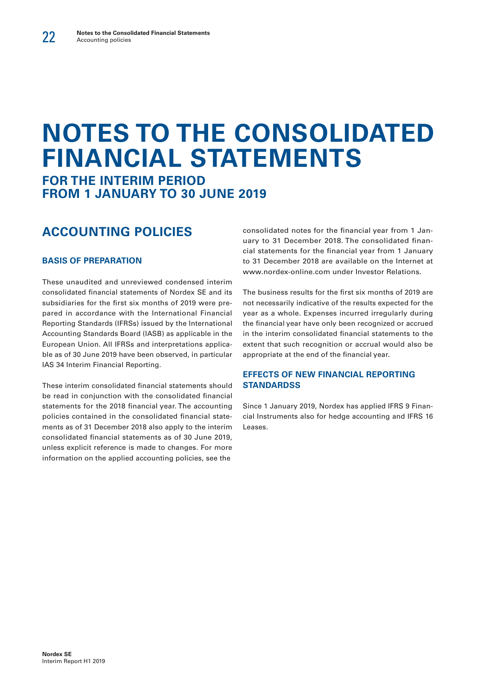# **NOTES TO THE CONSOLIDATED FINANCIAL STATEMENTS FOR THE INTERIM PERIOD**

**FROM 1 JANUARY TO 30 JUNE 2019**

# **ACCOUNTING POLICIES**

#### **BASIS OF PREPARATION**

These unaudited and unreviewed condensed interim consolidated financial statements of Nordex SE and its subsidiaries for the first six months of 2019 were prepared in accordance with the International Financial Reporting Standards (IFRSs) issued by the International Accounting Standards Board (IASB) as applicable in the European Union. All IFRSs and interpretations applicable as of 30 June 2019 have been observed, in particular IAS 34 Interim Financial Reporting.

These interim consolidated financial statements should be read in conjunction with the consolidated financial statements for the 2018 financial year. The accounting policies contained in the consolidated financial statements as of 31 December 2018 also apply to the interim consolidated financial statements as of 30 June 2019, unless explicit reference is made to changes. For more information on the applied accounting policies, see the

consolidated notes for the financial year from 1 January to 31 December 2018. The consolidated financial statements for the financial year from 1 January to 31 December 2018 are available on the Internet at www.nordex-online.com under Investor Relations.

The business results for the first six months of 2019 are not necessarily indicative of the results expected for the year as a whole. Expenses incurred irregularly during the financial year have only been recognized or accrued in the interim consolidated financial statements to the extent that such recognition or accrual would also be appropriate at the end of the financial year.

#### **EFFECTS OF NEW FINANCIAL REPORTING STANDARDSS**

Since 1 January 2019, Nordex has applied IFRS 9 Financial Instruments also for hedge accounting and IFRS 16 Leases.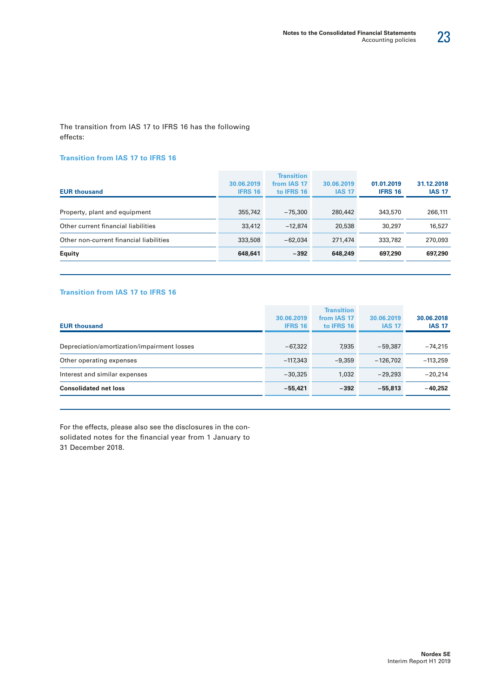The transition from IAS 17 to IFRS 16 has the following effects:

#### **Transition from IAS 17 to IFRS 16**

| <b>EUR thousand</b>                     | 30.06.2019<br><b>IFRS 16</b> | <b>Transition</b><br>from IAS 17<br>to IFRS 16 | 30.06.2019<br><b>IAS 17</b> | 01.01.2019<br><b>IFRS 16</b> | 31.12.2018<br><b>IAS 17</b> |
|-----------------------------------------|------------------------------|------------------------------------------------|-----------------------------|------------------------------|-----------------------------|
| Property, plant and equipment           | 355,742                      | $-75.300$                                      | 280,442                     | 343,570                      | 266,111                     |
| Other current financial liabilities     | 33,412                       | $-12.874$                                      | 20,538                      | 30,297                       | 16,527                      |
| Other non-current financial liabilities | 333,508                      | $-62.034$                                      | 271,474                     | 333,782                      | 270,093                     |
| <b>Equity</b>                           | 648,641                      | $-392$                                         | 648,249                     | 697,290                      | 697,290                     |

#### **Transition from IAS 17 to IFRS 16**

| <b>EUR thousand</b>                         | 30.06.2019<br><b>IFRS 16</b> | <b>Transition</b><br>from IAS 17<br>to IFRS 16 | 30.06.2019<br><b>IAS 17</b> | 30.06.2018<br><b>IAS 17</b> |
|---------------------------------------------|------------------------------|------------------------------------------------|-----------------------------|-----------------------------|
| Depreciation/amortization/impairment losses | $-67.322$                    | 7,935                                          | $-59.387$                   | $-74.215$                   |
| Other operating expenses                    | $-117.343$                   | $-9.359$                                       | $-126.702$                  | $-113,259$                  |
| Interest and similar expenses               | $-30.325$                    | 1,032                                          | $-29.293$                   | $-20.214$                   |
| <b>Consolidated net loss</b>                | $-55.421$                    | $-392$                                         | $-55.813$                   | $-40.252$                   |

For the effects, please also see the disclosures in the consolidated notes for the financial year from 1 January to 31 December 2018.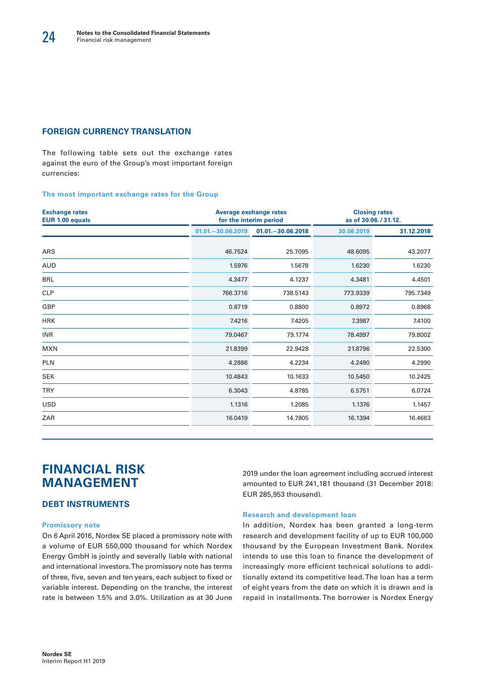#### **FOREIGN CURRENCY TRANSLATION**

The following table sets out the exchange rates against the euro of the Group's most important foreign currencies:

#### **The most important exchange rates for the Group**

| <b>Exchange rates</b><br>EUR 1.00 equals | <b>Average exchange rates</b><br>for the interim period |                      |            | <b>Closing rates</b><br>as of 30.06./31.12. |
|------------------------------------------|---------------------------------------------------------|----------------------|------------|---------------------------------------------|
|                                          | $01.01 - 30.06.2019$                                    | $01.01 - 30.06.2018$ | 30.06.2019 | 31.12.2018                                  |
| <b>ARS</b>                               | 46.7524                                                 | 25.7095              | 48.6095    | 43.2077                                     |
| <b>AUD</b>                               | 1.5976                                                  | 1.5678               | 1.6230     | 1.6230                                      |
| <b>BRL</b>                               | 4.3477                                                  | 4.1237               | 4.3481     | 4.4501                                      |
| <b>CLP</b>                               | 766.3716                                                | 738.5143             | 773.9339   | 795.7349                                    |
| GBP                                      | 0.8719                                                  | 0.8800               | 0.8972     | 0.8968                                      |
| <b>HRK</b>                               | 7.4216                                                  | 7.4205               | 7.3987     | 7.4100                                      |
| <b>INR</b>                               | 79.0467                                                 | 79.1774              | 78.4997    | 79.8002                                     |
| <b>MXN</b>                               | 21.8399                                                 | 22.9428              | 21.8796    | 22.5300                                     |
| <b>PLN</b>                               | 4.2886                                                  | 4.2234               | 4.2490     | 4.2990                                      |
| <b>SEK</b>                               | 10.4843                                                 | 10.1633              | 10.5450    | 10.2425                                     |
| <b>TRY</b>                               | 6.3043                                                  | 4.8785               | 6.5751     | 6.0724                                      |
| <b>USD</b>                               | 1.1316                                                  | 1.2085               | 1.1376     | 1.1457                                      |
| ZAR                                      | 16.0419                                                 | 14.7805              | 16.1394    | 16.4663                                     |

# **FINANCIAL RISK MANAGEMENT**

#### **DEBT INSTRUMENTS**

#### **Promissory note**

On 6 April 2016, Nordex SE placed a promissory note with a volume of EUR 550,000 thousand for which Nordex Energy GmbH is jointly and severally liable with national and international investors. The promissory note has terms of three, five, seven and ten years, each subject to fixed or variable interest. Depending on the tranche, the interest rate is between 1.5% and 3.0%. Utilization as at 30 June

2019 under the loan agreement including accrued interest amounted to EUR 241,181 thousand (31 December 2018: EUR 285,953 thousand).

#### **Research and development loan**

In addition, Nordex has been granted a long-term research and development facility of up to EUR 100,000 thousand by the European Investment Bank. Nordex intends to use this loan to finance the development of increasingly more efficient technical solutions to additionally extend its competitive lead. The loan has a term of eight years from the date on which it is drawn and is repaid in installments. The borrower is Nordex Energy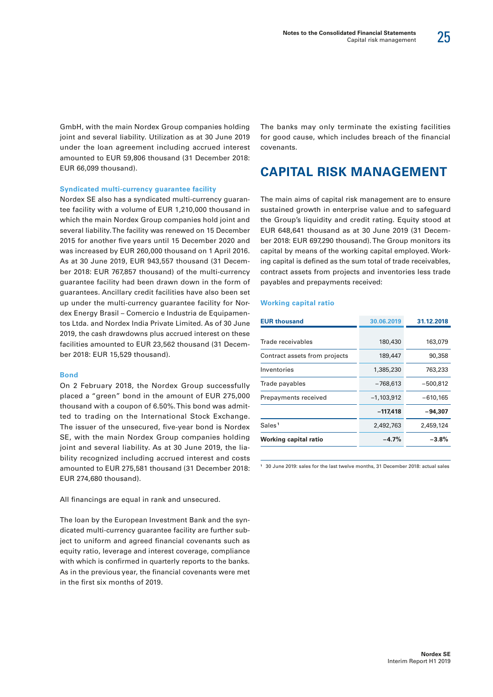![](_page_26_Picture_1.jpeg)

GmbH, with the main Nordex Group companies holding joint and several liability. Utilization as at 30 June 2019 under the loan agreement including accrued interest amounted to EUR 59,806 thousand (31 December 2018: EUR 66,099 thousand).

#### **Syndicated multi-currency guarantee facility**

Nordex SE also has a syndicated multi-currency guarantee facility with a volume of EUR 1,210,000 thousand in which the main Nordex Group companies hold joint and several liability. The facility was renewed on 15 December 2015 for another five years until 15 December 2020 and was increased by EUR 260,000 thousand on 1 April 2016. As at 30 June 2019, EUR 943,557 thousand (31 December 2018: EUR 767,857 thousand) of the multi-currency guarantee facility had been drawn down in the form of guarantees. Ancillary credit facilities have also been set up under the multi-currency guarantee facility for Nordex Energy Brasil – Comercio e Industria de Equipamentos Ltda. and Nordex India Private Limited. As of 30 June 2019, the cash drawdowns plus accrued interest on these facilities amounted to EUR 23,562 thousand (31 December 2018: EUR 15,529 thousand).

#### **Bond**

On 2 February 2018, the Nordex Group successfully placed a "green" bond in the amount of EUR 275,000 thousand with a coupon of 6.50%. This bond was admitted to trading on the International Stock Exchange. The issuer of the unsecured, five-year bond is Nordex SE, with the main Nordex Group companies holding joint and several liability. As at 30 June 2019, the liability recognized including accrued interest and costs amounted to EUR 275,581 thousand (31 December 2018: EUR 274,680 thousand).

All financings are equal in rank and unsecured.

The loan by the European Investment Bank and the syndicated multi-currency guarantee facility are further subject to uniform and agreed financial covenants such as equity ratio, leverage and interest coverage, compliance with which is confirmed in quarterly reports to the banks. As in the previous year, the financial covenants were met in the first six months of 2019.

The banks may only terminate the existing facilities for good cause, which includes breach of the financial covenants.

### **CAPITAL RISK MANAGEMENT**

The main aims of capital risk management are to ensure sustained growth in enterprise value and to safeguard the Group's liquidity and credit rating. Equity stood at EUR 648,641 thousand as at 30 June 2019 (31 December 2018: EUR 697,290 thousand). The Group monitors its capital by means of the working capital employed. Working capital is defined as the sum total of trade receivables, contract assets from projects and inventories less trade payables and prepayments received:

#### **Working capital ratio**

| <b>EUR thousand</b>           | 30.06.2019   | 31.12.2018 |
|-------------------------------|--------------|------------|
|                               |              |            |
| Trade receivables             | 180,430      | 163,079    |
| Contract assets from projects | 189,447      | 90,358     |
| Inventories                   | 1,385,230    | 763,233    |
| Trade payables                | -768,613     | -500,812   |
| Prepayments received          | $-1,103,912$ | $-610,165$ |
|                               | $-117,418$   | -94,307    |
| Sales <sup>1</sup>            | 2,492,763    | 2,459,124  |
| Working capital ratio         | $-4.7%$      | $-3.8%$    |

**<sup>1</sup>** 30 June 2019: sales for the last twelve months, 31 December 2018: actual sales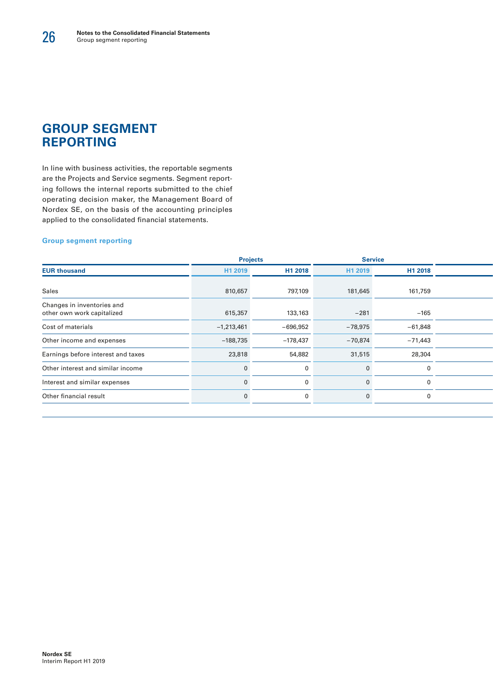### **GROUP SEGMENT REPORTING**

In line with business activities, the reportable segments are the Projects and Service segments. Segment reporting follows the internal reports submitted to the chief operating decision maker, the Management Board of Nordex SE, on the basis of the accounting principles applied to the consolidated financial statements.

#### **Group segment reporting**

|                                                          | <b>Projects</b> |            | <b>Service</b> |           |  |
|----------------------------------------------------------|-----------------|------------|----------------|-----------|--|
| <b>EUR thousand</b>                                      | H1 2019         | H1 2018    | H1 2019        | H1 2018   |  |
| Sales                                                    | 810,657         | 797,109    | 181,645        | 161,759   |  |
| Changes in inventories and<br>other own work capitalized | 615,357         | 133,163    | $-281$         | $-165$    |  |
| Cost of materials                                        | $-1,213,461$    | $-696,952$ | $-78,975$      | $-61,848$ |  |
| Other income and expenses                                | $-188,735$      | $-178,437$ | $-70,874$      | $-71,443$ |  |
| Earnings before interest and taxes                       | 23,818          | 54,882     | 31,515         | 28,304    |  |
| Other interest and similar income                        |                 |            |                |           |  |
| Interest and similar expenses                            |                 |            |                |           |  |
| Other financial result                                   |                 |            |                |           |  |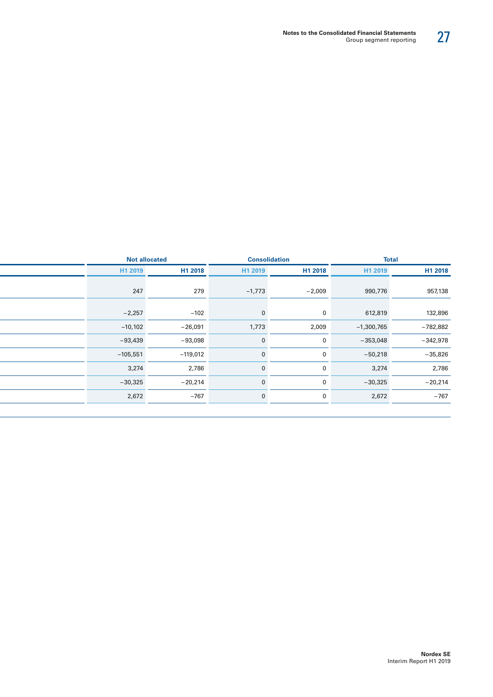27

| H1 2018<br>H1 2019         | H1 2018      | H1 2019  |            |            |
|----------------------------|--------------|----------|------------|------------|
|                            |              |          | H1 2018    | H1 2019    |
| 957,138<br>990,776         | $-2,009$     | $-1,773$ | 279        | 247        |
| 132,896<br>612,819         | $\mathbf 0$  |          | $-102$     | $-2,257$   |
| $-1,300,765$<br>$-782,882$ | 2,009        | 1,773    | $-26,091$  | $-10,102$  |
| $-342,978$<br>$-353,048$   | $\mathbf 0$  |          | $-93,098$  | $-93,439$  |
| $-35,826$<br>$-50,218$     | $\mathbf{0}$ |          | $-119,012$ | $-105,551$ |
| 3,274<br>2,786             | $\mathbf 0$  |          | 2,786      | 3,274      |
| $-20,214$<br>$-30,325$     | $\mathbf 0$  |          | $-20,214$  | $-30,325$  |
| $-767$<br>2,672            | $\mathbf 0$  |          | $-767$     | 2,672      |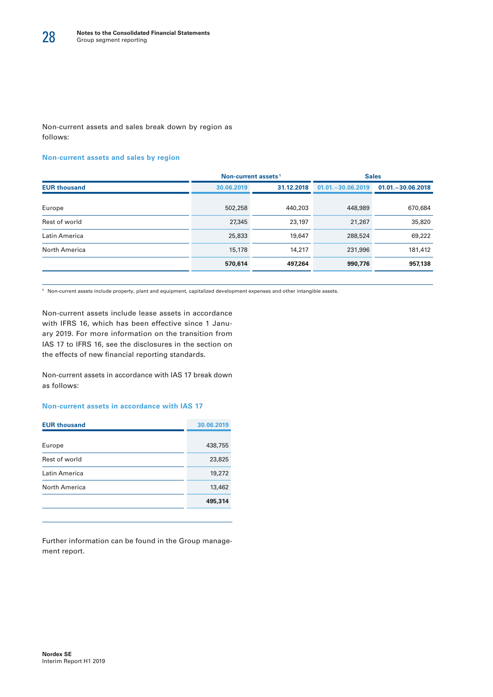Non-current assets and sales break down by region as follows:

#### **Non-current assets and sales by region**

|                     | Non-current assets <sup>1</sup> |            | <b>Sales</b>          |                     |  |
|---------------------|---------------------------------|------------|-----------------------|---------------------|--|
| <b>EUR thousand</b> | 30.06.2019                      | 31.12.2018 | $01.01 - 30.06, 2019$ | $01.01 - 30.062018$ |  |
| Europe              | 502,258                         | 440,203    | 448,989               | 670,684             |  |
| Rest of world       | 27,345                          | 23,197     | 21,267                | 35,820              |  |
| Latin America       | 25,833                          | 19,647     | 288,524               | 69,222              |  |
| North America       | 15,178                          | 14,217     | 231,996               | 181,412             |  |
|                     | 570,614                         | 497,264    | 990,776               | 957,138             |  |

**1** Non-current assets include property, plant and equipment, capitalized development expenses and other intangible assets.

Non-current assets include lease assets in accordance with IFRS 16, which has been effective since 1 January 2019. For more information on the transition from IAS 17 to IFRS 16, see the disclosures in the section on the effects of new financial reporting standards.

Non-current assets in accordance with IAS 17 break down as follows:

#### **Non-current assets in accordance with IAS 17**

| <b>EUR thousand</b>  | 30.06.2019 |
|----------------------|------------|
|                      |            |
| Europe               | 438,755    |
| Rest of world        | 23,825     |
| Latin America        | 19,272     |
| <b>North America</b> | 13,462     |
|                      | 495,314    |
|                      |            |

Further information can be found in the Group management report.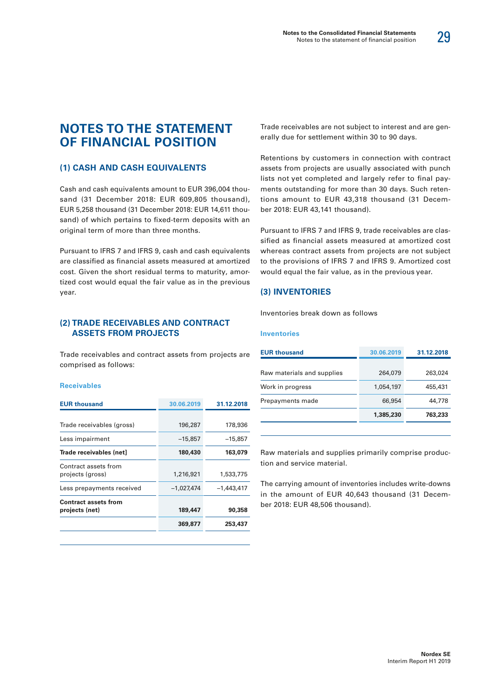### **NOTES TO THE STATEMENT OF FINANCIAL POSITION**

#### **(1) CASH AND CASH EQUIVALENTS**

Cash and cash equivalents amount to EUR 396,004 thousand (31 December 2018: EUR 609,805 thousand), EUR 5,258 thousand (31 December 2018: EUR 14,611 thousand) of which pertains to fixed-term deposits with an original term of more than three months.

Pursuant to IFRS 7 and IFRS 9, cash and cash equivalents are classified as financial assets measured at amortized cost. Given the short residual terms to maturity, amortized cost would equal the fair value as in the previous year.

#### **(2) TRADE RECEIVABLES AND CONTRACT ASSETS FROM PROJECTS**

Trade receivables and contract assets from projects are comprised as follows:

#### **Receivables**

| 30.06.2019   | 31.12.2018   |
|--------------|--------------|
|              | 178,936      |
| $-15,857$    | $-15,857$    |
| 180,430      | 163,079      |
| 1,216,921    | 1,533,775    |
| $-1,027,474$ | $-1.443.417$ |
| 189,447      | 90,358       |
| 369,877      | 253,437      |
|              | 196,287      |

Trade receivables are not subject to interest and are generally due for settlement within 30 to 90 days.

Retentions by customers in connection with contract assets from projects are usually associated with punch lists not yet completed and largely refer to final payments outstanding for more than 30 days. Such retentions amount to EUR 43,318 thousand (31 December 2018: EUR 43,141 thousand).

Pursuant to IFRS 7 and IFRS 9, trade receivables are classified as financial assets measured at amortized cost whereas contract assets from projects are not subject to the provisions of IFRS 7 and IFRS 9. Amortized cost would equal the fair value, as in the previous year.

#### **(3) INVENTORIES**

Inventories break down as follows

#### **Inventories**

| <b>EUR thousand</b>        | 30.06.2019 | 31.12.2018 |
|----------------------------|------------|------------|
|                            |            |            |
| Raw materials and supplies | 264,079    | 263,024    |
| Work in progress           | 1,054,197  | 455,431    |
| Prepayments made           | 66,954     | 44,778     |
|                            | 1,385,230  | 763,233    |
|                            |            |            |

Raw materials and supplies primarily comprise production and service material.

The carrying amount of inventories includes write-downs in the amount of EUR 40,643 thousand (31 December 2018: EUR 48,506 thousand).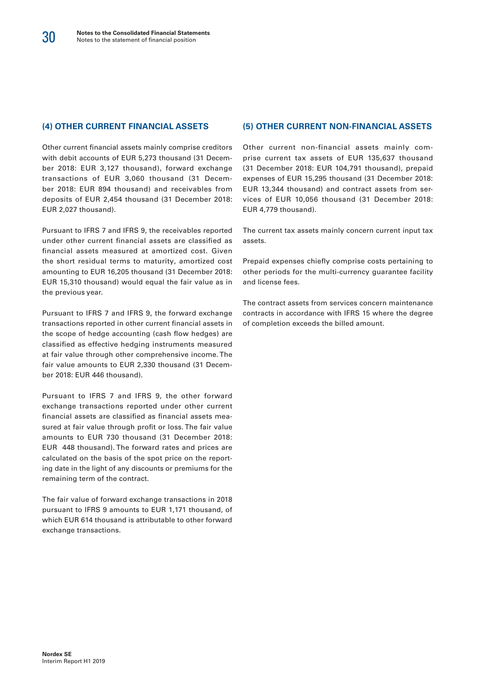#### **(4) OTHER CURRENT FINANCIAL ASSETS**

Other current financial assets mainly comprise creditors with debit accounts of EUR 5,273 thousand (31 December 2018: EUR 3,127 thousand), forward exchange transactions of EUR 3,060 thousand (31 December 2018: EUR 894 thousand) and receivables from deposits of EUR 2,454 thousand (31 December 2018: EUR 2,027 thousand).

Pursuant to IFRS 7 and IFRS 9, the receivables reported under other current financial assets are classified as financial assets measured at amortized cost. Given the short residual terms to maturity, amortized cost amounting to EUR 16,205 thousand (31 December 2018: EUR 15,310 thousand) would equal the fair value as in the previous year.

Pursuant to IFRS 7 and IFRS 9, the forward exchange transactions reported in other current financial assets in the scope of hedge accounting (cash flow hedges) are classified as effective hedging instruments measured at fair value through other comprehensive income. The fair value amounts to EUR 2,330 thousand (31 December 2018: EUR 446 thousand).

Pursuant to IFRS 7 and IFRS 9, the other forward exchange transactions reported under other current financial assets are classified as financial assets measured at fair value through profit or loss. The fair value amounts to EUR 730 thousand (31 December 2018: EUR 448 thousand). The forward rates and prices are calculated on the basis of the spot price on the reporting date in the light of any discounts or premiums for the remaining term of the contract.

The fair value of forward exchange transactions in 2018 pursuant to IFRS 9 amounts to EUR 1,171 thousand, of which EUR 614 thousand is attributable to other forward exchange transactions.

#### **(5) OTHER CURRENT NON-FINANCIAL ASSETS**

Other current non-financial assets mainly comprise current tax assets of EUR 135,637 thousand (31 December 2018: EUR 104,791 thousand), prepaid expenses of EUR 15,295 thousand (31 December 2018: EUR 13,344 thousand) and contract assets from services of EUR 10,056 thousand (31 December 2018: EUR 4,779 thousand).

The current tax assets mainly concern current input tax assets.

Prepaid expenses chiefly comprise costs pertaining to other periods for the multi-currency guarantee facility and license fees.

The contract assets from services concern maintenance contracts in accordance with IFRS 15 where the degree of completion exceeds the billed amount.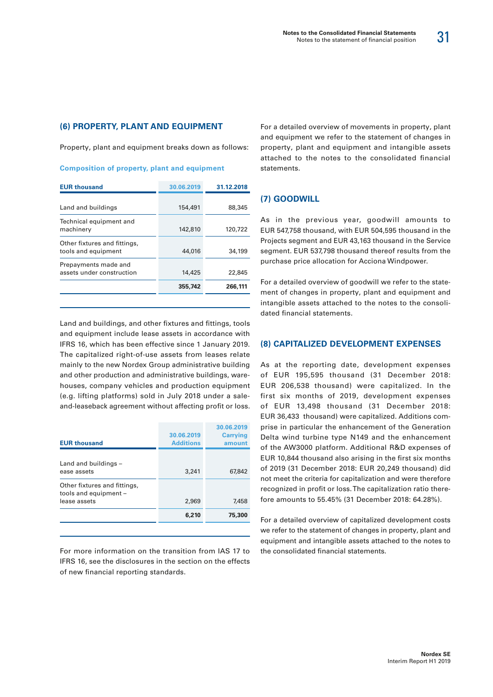#### **(6) PROPERTY, PLANT AND EQUIPMENT**

Property, plant and equipment breaks down as follows:

| <b>Composition of property, plant and equipment</b> |  |  |  |
|-----------------------------------------------------|--|--|--|

| <b>EUR thousand</b>                                 | 30.06.2019 | 31.12.2018 |
|-----------------------------------------------------|------------|------------|
|                                                     |            |            |
| Land and buildings                                  | 154,491    | 88,345     |
| Technical equipment and<br>machinery                | 142,810    | 120,722    |
| Other fixtures and fittings,<br>tools and equipment | 44,016     | 34,199     |
| Prepayments made and<br>assets under construction   | 14,425     | 22,845     |
|                                                     | 355,742    | 266,111    |

Land and buildings, and other fixtures and fittings, tools and equipment include lease assets in accordance with IFRS 16, which has been effective since 1 January 2019. The capitalized right-of-use assets from leases relate mainly to the new Nordex Group administrative building and other production and administrative buildings, warehouses, company vehicles and production equipment (e.g. lifting platforms) sold in July 2018 under a saleand-leaseback agreement without affecting profit or loss.

| <b>EUR thousand</b>                                                   | 30.06.2019<br><b>Additions</b> | 30.06.2019<br><b>Carrying</b><br>amount |
|-----------------------------------------------------------------------|--------------------------------|-----------------------------------------|
| Land and buildings -<br>ease assets                                   | 3,241                          | 67,842                                  |
| Other fixtures and fittings,<br>tools and equipment -<br>lease assets | 2,969                          | 7,458                                   |
|                                                                       | 6,210                          | 75,300                                  |

For more information on the transition from IAS 17 to IFRS 16, see the disclosures in the section on the effects of new financial reporting standards.

For a detailed overview of movements in property, plant and equipment we refer to the statement of changes in property, plant and equipment and intangible assets attached to the notes to the consolidated financial statements.

#### **(7) GOODWILL**

As in the previous year, goodwill amounts to EUR 547,758 thousand, with EUR 504,595 thousand in the Projects segment and EUR 43,163 thousand in the Service segment. EUR 537,798 thousand thereof results from the purchase price allocation for Acciona Windpower.

For a detailed overview of goodwill we refer to the statement of changes in property, plant and equipment and intangible assets attached to the notes to the consolidated financial statements.

#### **(8) CAPITALIZED DEVELOPMENT EXPENSES**

As at the reporting date, development expenses of EUR 195,595 thousand (31 December 2018: EUR 206,538 thousand) were capitalized. In the first six months of 2019, development expenses of EUR 13,498 thousand (31 December 2018: EUR 36,433 thousand) were capitalized. Additions comprise in particular the enhancement of the Generation Delta wind turbine type N149 and the enhancement of the AW3000 platform. Additional R&D expenses of EUR 10,844 thousand also arising in the first six months of 2019 (31 December 2018: EUR 20,249 thousand) did not meet the criteria for capitalization and were therefore recognized in profit or loss. The capitalization ratio therefore amounts to 55.45% (31 December 2018: 64.28%).

For a detailed overview of capitalized development costs we refer to the statement of changes in property, plant and equipment and intangible assets attached to the notes to the consolidated financial statements.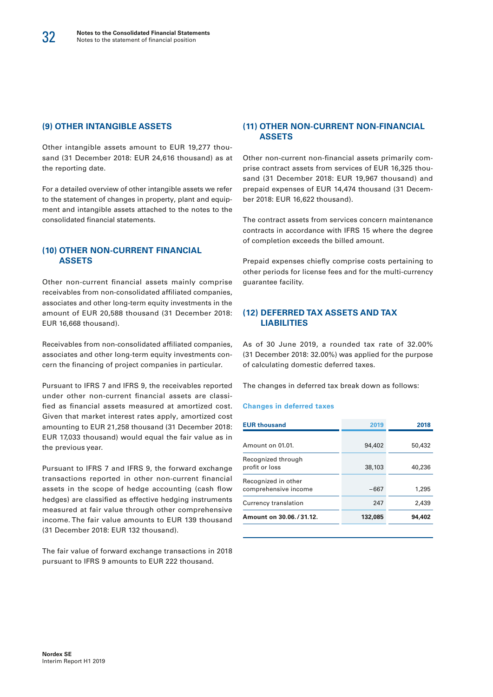#### **(9) OTHER INTANGIBLE ASSETS**

Other intangible assets amount to EUR 19,277 thousand (31 December 2018: EUR 24,616 thousand) as at the reporting date.

For a detailed overview of other intangible assets we refer to the statement of changes in property, plant and equipment and intangible assets attached to the notes to the consolidated financial statements.

#### **(10) OTHER NON-CURRENT FINANCIAL ASSETS**

Other non-current financial assets mainly comprise receivables from non-consolidated affiliated companies, associates and other long-term equity investments in the amount of EUR 20,588 thousand (31 December 2018: EUR 16,668 thousand).

Receivables from non-consolidated affiliated companies, associates and other long-term equity investments concern the financing of project companies in particular.

Pursuant to IFRS 7 and IFRS 9, the receivables reported under other non-current financial assets are classified as financial assets measured at amortized cost. Given that market interest rates apply, amortized cost amounting to EUR 21,258 thousand (31 December 2018: EUR 17,033 thousand) would equal the fair value as in the previous year.

Pursuant to IFRS 7 and IFRS 9, the forward exchange transactions reported in other non-current financial assets in the scope of hedge accounting (cash flow hedges) are classified as effective hedging instruments measured at fair value through other comprehensive income. The fair value amounts to EUR 139 thousand (31 December 2018: EUR 132 thousand).

The fair value of forward exchange transactions in 2018 pursuant to IFRS 9 amounts to EUR 222 thousand.

#### **(11) OTHER NON-CURRENT NON-FINANCIAL ASSETS**

Other non-current non-financial assets primarily comprise contract assets from services of EUR 16,325 thousand (31 December 2018: EUR 19,967 thousand) and prepaid expenses of EUR 14,474 thousand (31 December 2018: EUR 16,622 thousand).

The contract assets from services concern maintenance contracts in accordance with IFRS 15 where the degree of completion exceeds the billed amount.

Prepaid expenses chiefly comprise costs pertaining to other periods for license fees and for the multi-currency guarantee facility.

#### **(12) DEFERRED TAX ASSETS AND TAX LIABILITIES**

As of 30 June 2019, a rounded tax rate of 32.00% (31 December 2018: 32.00%) was applied for the purpose of calculating domestic deferred taxes.

The changes in deferred tax break down as follows:

#### **Changes in deferred taxes**

| <b>EUR thousand</b>                         | 2019    | 2018   |
|---------------------------------------------|---------|--------|
| Amount on 01.01.                            | 94,402  | 50,432 |
| Recognized through<br>profit or loss        | 38,103  | 40,236 |
| Recognized in other<br>comprehensive income | -667    | 1,295  |
| Currency translation                        | 247     | 2.439  |
| Amount on 30.06./31.12.                     | 132,085 | 94,402 |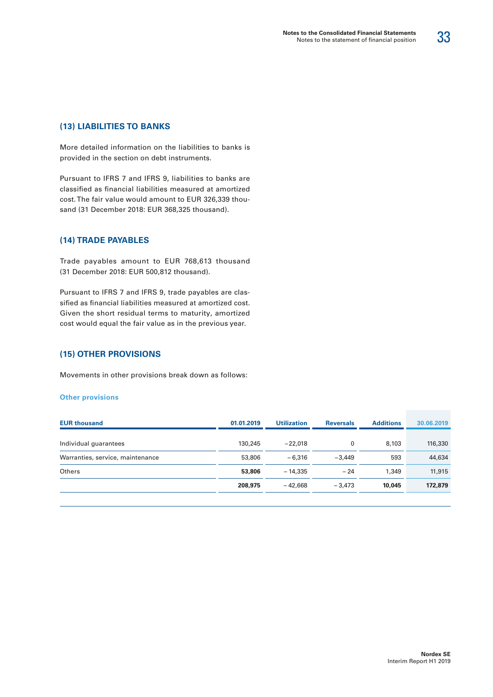33

More detailed information on the liabilities to banks is provided in the section on debt instruments.

Pursuant to IFRS 7 and IFRS 9, liabilities to banks are classified as financial liabilities measured at amortized cost. The fair value would amount to EUR 326,339 thousand (31 December 2018: EUR 368,325 thousand).

#### **(14) TRADE PAYABLES**

Trade payables amount to EUR 768,613 thousand (31 December 2018: EUR 500,812 thousand).

Pursuant to IFRS 7 and IFRS 9, trade payables are classified as financial liabilities measured at amortized cost. Given the short residual terms to maturity, amortized cost would equal the fair value as in the previous year.

#### **(15) OTHER PROVISIONS**

Movements in other provisions break down as follows:

#### **Other provisions**

| <b>EUR thousand</b>              | 01.01.2019 | <b>Utilization</b> | <b>Reversals</b> | <b>Additions</b> | 30.06.2019 |  |
|----------------------------------|------------|--------------------|------------------|------------------|------------|--|
| Individual guarantees            | 130,245    | $-22.018$          | 0                | 8,103            | 116,330    |  |
| Warranties, service, maintenance | 53,806     | $-6.316$           | $-3.449$         | 593              | 44,634     |  |
| Others                           | 53,806     | $-14.335$          | $-24$            | 1,349            | 11,915     |  |
|                                  | 208,975    | $-42.668$          | $-3.473$         | 10,045           | 172,879    |  |
|                                  |            |                    |                  |                  |            |  |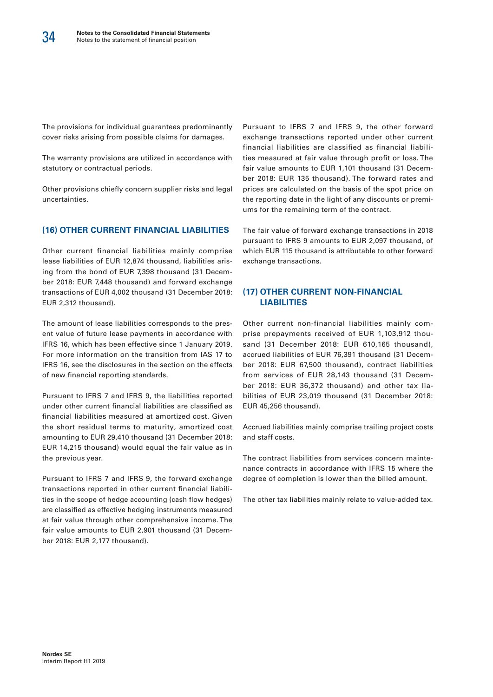The provisions for individual guarantees predominantly cover risks arising from possible claims for damages.

The warranty provisions are utilized in accordance with statutory or contractual periods.

Other provisions chiefly concern supplier risks and legal uncertainties.

#### **(16) OTHER CURRENT FINANCIAL LIABILITIES**

Other current financial liabilities mainly comprise lease liabilities of EUR 12,874 thousand, liabilities arising from the bond of EUR 7,398 thousand (31 December 2018: EUR 7,448 thousand) and forward exchange transactions of EUR 4,002 thousand (31 December 2018: EUR 2,312 thousand).

The amount of lease liabilities corresponds to the present value of future lease payments in accordance with IFRS 16, which has been effective since 1 January 2019. For more information on the transition from IAS 17 to IFRS 16, see the disclosures in the section on the effects of new financial reporting standards.

Pursuant to IFRS 7 and IFRS 9, the liabilities reported under other current financial liabilities are classified as financial liabilities measured at amortized cost. Given the short residual terms to maturity, amortized cost amounting to EUR 29,410 thousand (31 December 2018: EUR 14,215 thousand) would equal the fair value as in the previous year.

Pursuant to IFRS 7 and IFRS 9, the forward exchange transactions reported in other current financial liabilities in the scope of hedge accounting (cash flow hedges) are classified as effective hedging instruments measured at fair value through other comprehensive income. The fair value amounts to EUR 2,901 thousand (31 December 2018: EUR 2,177 thousand).

Pursuant to IFRS 7 and IFRS 9, the other forward exchange transactions reported under other current financial liabilities are classified as financial liabilities measured at fair value through profit or loss. The fair value amounts to EUR 1,101 thousand (31 December 2018: EUR 135 thousand). The forward rates and prices are calculated on the basis of the spot price on the reporting date in the light of any discounts or premiums for the remaining term of the contract.

The fair value of forward exchange transactions in 2018 pursuant to IFRS 9 amounts to EUR 2,097 thousand, of which EUR 115 thousand is attributable to other forward exchange transactions.

#### **(17) OTHER CURRENT NON-FINANCIAL LIABILITIES**

Other current non-financial liabilities mainly comprise prepayments received of EUR 1,103,912 thousand (31 December 2018: EUR 610,165 thousand), accrued liabilities of EUR 76,391 thousand (31 December 2018: EUR 67,500 thousand), contract liabilities from services of EUR 28,143 thousand (31 December 2018: EUR 36,372 thousand) and other tax liabilities of EUR 23,019 thousand (31 December 2018: EUR 45,256 thousand).

Accrued liabilities mainly comprise trailing project costs and staff costs.

The contract liabilities from services concern maintenance contracts in accordance with IFRS 15 where the degree of completion is lower than the billed amount.

The other tax liabilities mainly relate to value-added tax.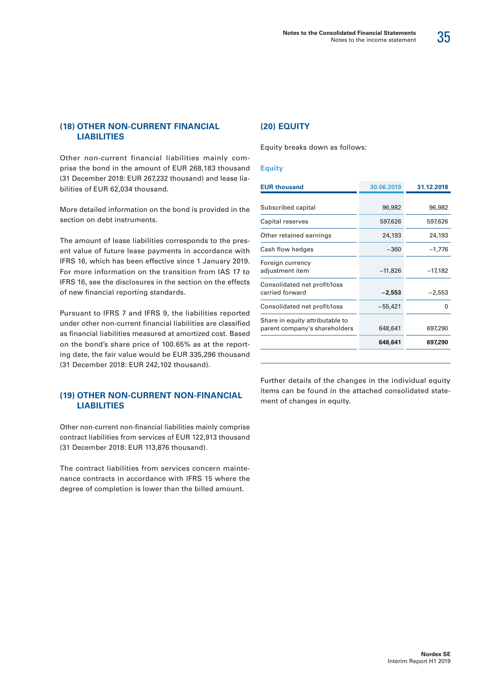![](_page_36_Picture_1.jpeg)

#### **(18) OTHER NON-CURRENT FINANCIAL LIABILITIES**

Other non-current financial liabilities mainly comprise the bond in the amount of EUR 268,183 thousand (31 December 2018: EUR 267,232 thousand) and lease liabilities of EUR 62,034 thousand.

More detailed information on the bond is provided in the section on debt instruments.

The amount of lease liabilities corresponds to the present value of future lease payments in accordance with IFRS 16, which has been effective since 1 January 2019. For more information on the transition from IAS 17 to IFRS 16, see the disclosures in the section on the effects of new financial reporting standards.

Pursuant to IFRS 7 and IFRS 9, the liabilities reported under other non-current financial liabilities are classified as financial liabilities measured at amortized cost. Based on the bond's share price of 100.65% as at the reporting date, the fair value would be EUR 335,296 thousand (31 December 2018: EUR 242,102 thousand).

#### **(19) OTHER NON-CURRENT NON-FINANCIAL LIABILITIES**

Other non-current non-financial liabilities mainly comprise contract liabilities from services of EUR 122,913 thousand (31 December 2018: EUR 113,876 thousand).

The contract liabilities from services concern maintenance contracts in accordance with IFRS 15 where the degree of completion is lower than the billed amount.

#### **(20) EQUITY**

Equity breaks down as follows:

#### **Equity**

| <b>EUR thousand</b>                                              | 30.06.2019 | 31.12.2018 |
|------------------------------------------------------------------|------------|------------|
|                                                                  |            |            |
| Subscribed capital                                               | 96,982     | 96,982     |
| Capital reserves                                                 | 597,626    | 597,626    |
| Other retained earnings                                          | 24,193     | 24,193     |
| Cash flow hedges                                                 | $-360$     | $-1,776$   |
| Foreign currency<br>adjustment item                              | $-11,826$  | $-17,182$  |
| Consolidated net profit/loss<br>carried forward                  | $-2,553$   | $-2,553$   |
| Consolidated net profit/loss                                     | -55,421    | O          |
| Share in equity attributable to<br>parent company's shareholders | 648,641    | 697,290    |
|                                                                  | 648,641    | 697,290    |
|                                                                  |            |            |

Further details of the changes in the individual equity items can be found in the attached consolidated statement of changes in equity.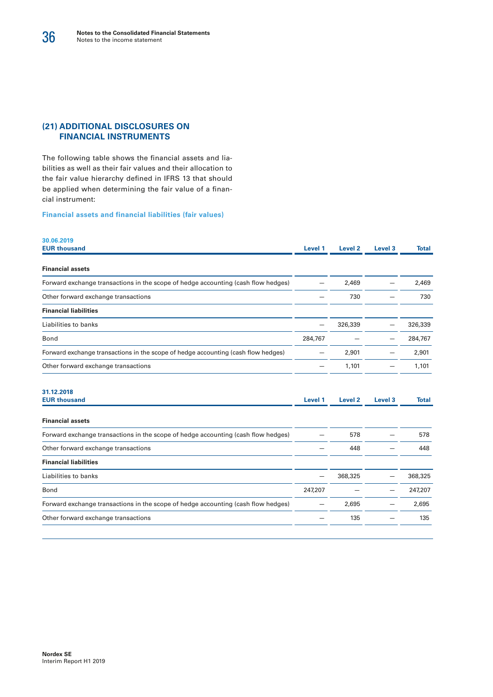#### **(21) ADDITIONAL DISCLOSURES ON FINANCIAL INSTRUMENTS**

The following table shows the financial assets and liabilities as well as their fair values and their allocation to the fair value hierarchy defined in IFRS 13 that should be applied when determining the fair value of a financial instrument:

**Financial assets and financial liabilities (fair values)**

| 30.06.2019                                                                        |         |                    |                    |              |
|-----------------------------------------------------------------------------------|---------|--------------------|--------------------|--------------|
| <b>EUR thousand</b>                                                               | Level 1 | Level <sub>2</sub> | Level <sub>3</sub> | Total        |
| <b>Financial assets</b>                                                           |         |                    |                    |              |
| Forward exchange transactions in the scope of hedge accounting (cash flow hedges) |         | 2,469              |                    | 2,469        |
| Other forward exchange transactions                                               |         | 730                |                    | 730          |
| <b>Financial liabilities</b>                                                      |         |                    |                    |              |
| Liabilities to banks                                                              |         | 326,339            |                    | 326,339      |
| Bond                                                                              | 284,767 |                    |                    | 284,767      |
| Forward exchange transactions in the scope of hedge accounting (cash flow hedges) |         | 2,901              |                    | 2,901        |
| Other forward exchange transactions                                               |         | 1,101              |                    | 1,101        |
| 31.12.2018                                                                        |         |                    |                    |              |
| <b>EUR thousand</b>                                                               | Level 1 | Level <sub>2</sub> | Level <sub>3</sub> | <b>Total</b> |
| <b>Financial assets</b>                                                           |         |                    |                    |              |
| Forward exchange transactions in the scope of hedge accounting (cash flow hedges) |         | 578                |                    | 578          |
| Other forward exchange transactions                                               |         | 448                |                    | 448          |
| <b>Financial liabilities</b>                                                      |         |                    |                    |              |
| Liabilities to banks                                                              |         | 368,325            |                    | 368,325      |
| Bond                                                                              | 247,207 |                    |                    | 247,207      |
| Forward exchange transactions in the scope of hedge accounting (cash flow hedges) |         | 2,695              |                    | 2,695        |
| Other forward exchange transactions                                               |         | 135                |                    | 135          |
|                                                                                   |         |                    |                    |              |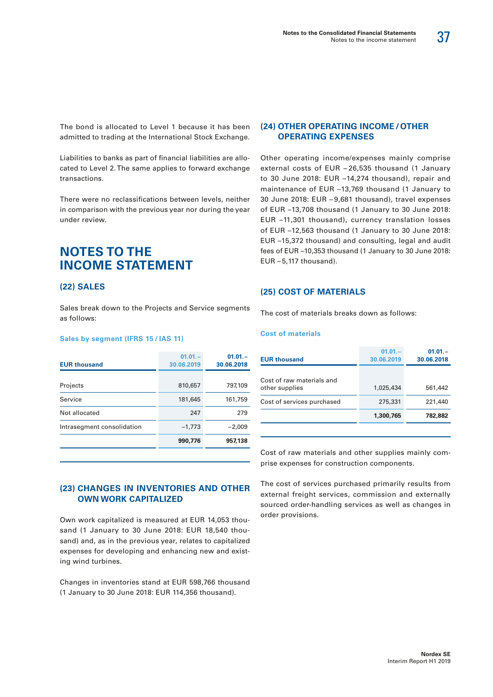37

The bond is allocated to Level 1 because it has been admitted to trading at the International Stock Exchange.

Liabilities to banks as part of financial liabilities are allocated to Level 2. The same applies to forward exchange transactions.

There were no reclassifications between levels, neither in comparison with the previous year nor during the year under review.

## **NOTES TO THE INCOME STATEMENT**

#### **(22) SALES**

Sales break down to the Projects and Service segments as follows:

#### **Sales by segment (IFRS 15 / IAS 11)**

| <b>EUR thousand</b>        | $01.01 -$<br>30.06.2019 | $01.01 -$<br>30.06.2018 |
|----------------------------|-------------------------|-------------------------|
|                            |                         |                         |
| Projects                   | 810,657                 | 797,109                 |
| Service                    | 181,645                 | 161,759                 |
| Not allocated              | 247                     | 279                     |
| Intrasegment consolidation | $-1,773$                | $-2,009$                |
|                            | 990,776                 | 957,138                 |

#### **(23) CHANGES IN INVENTORIES AND OTHER OWN WORK CAPITALIZED**

Own work capitalized is measured at EUR 14,053 thousand (1 January to 30 June 2018: EUR 18,540 thousand) and, as in the previous year, relates to capitalized expenses for developing and enhancing new and existing wind turbines.

Changes in inventories stand at EUR 598,766 thousand (1 January to 30 June 2018: EUR 114,356 thousand).

#### **(24) OTHER OPERATING INCOME /OTHER OPERATING EXPENSES**

Other operating income/expenses mainly comprise external costs of EUR – 26,535 thousand (1 January to 30 June 2018: EUR –14,274 thousand), repair and maintenance of EUR –13,769 thousand (1 January to 30 June 2018: EUR – 9,681 thousand), travel expenses of EUR –13,708 thousand (1 January to 30 June 2018: EUR –11,301 thousand), currency translation losses of EUR –12,563 thousand (1 January to 30 June 2018: EUR –15,372 thousand) and consulting, legal and audit fees of EUR –10,353 thousand (1 January to 30 June 2018: EUR  $-5,117$  thousand).

#### **(25) COST OF MATERIALS**

The cost of materials breaks down as follows:

#### **Cost of materials**

| <b>EUR thousand</b>                         | $01.01 -$<br>30.06.2019 | $01.01 -$<br>30.06.2018 |
|---------------------------------------------|-------------------------|-------------------------|
| Cost of raw materials and<br>other supplies | 1,025,434               | 561,442                 |
| Cost of services purchased                  | 275,331                 | 221,440                 |
|                                             | 1,300,765               | 782.882                 |
|                                             |                         |                         |

Cost of raw materials and other supplies mainly comprise expenses for construction components.

The cost of services purchased primarily results from external freight services, commission and externally sourced order-handling services as well as changes in order provisions.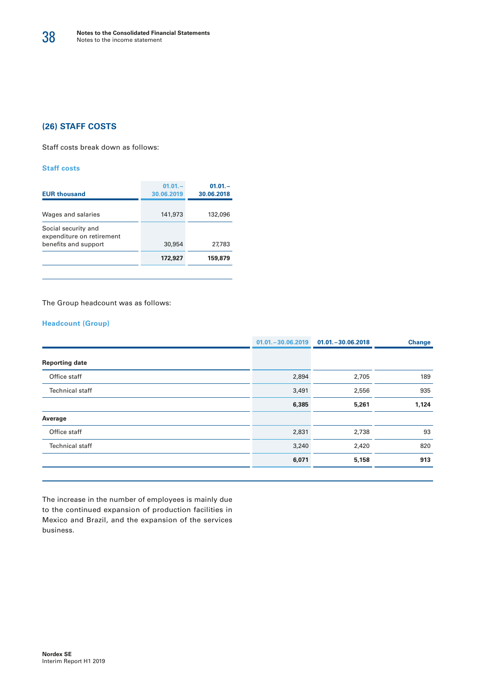#### **(26) STAFF COSTS**

Staff costs break down as follows:

#### **Staff costs**

| <b>EUR thousand</b>                                                      | $01.01 -$<br>30.06.2019 | $01.01 -$<br>30.06.2018 |
|--------------------------------------------------------------------------|-------------------------|-------------------------|
| Wages and salaries                                                       | 141,973                 | 132,096                 |
| Social security and<br>expenditure on retirement<br>benefits and support | 30,954                  | 27.783                  |
|                                                                          | 172,927                 | 159,879                 |

The Group headcount was as follows:

#### **Headcount (Group)**

|                        | $01.01 - 30.06.2019$ | $01.01 - 30.06.2018$ | <b>Change</b> |
|------------------------|----------------------|----------------------|---------------|
| <b>Reporting date</b>  |                      |                      |               |
| Office staff           | 2,894                | 2,705                | 189           |
| <b>Technical staff</b> | 3,491                | 2,556                | 935           |
|                        | 6,385                | 5,261                | 1,124         |
| Average                |                      |                      |               |
| Office staff           | 2,831                | 2,738                | 93            |
| <b>Technical staff</b> | 3,240                | 2,420                | 820           |
|                        | 6,071                | 5,158                | 913           |
|                        |                      |                      |               |

The increase in the number of employees is mainly due to the continued expansion of production facilities in Mexico and Brazil, and the expansion of the services business.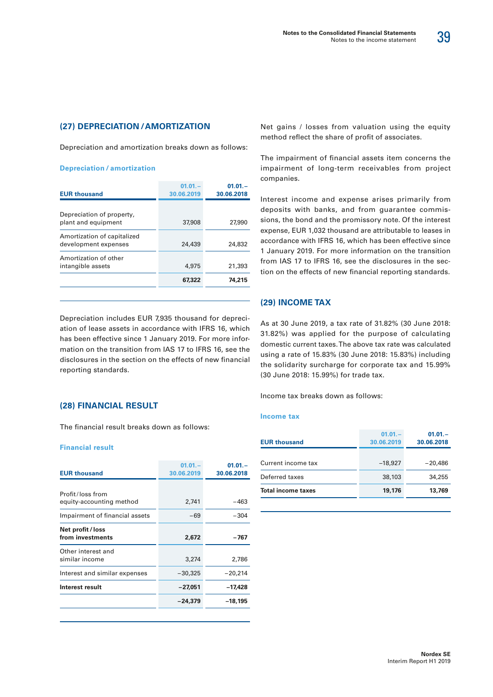![](_page_40_Picture_1.jpeg)

#### **(27) DEPRECIATION /AMORTIZATION**

Depreciation and amortization breaks down as follows:

#### **Depreciation / amortization**

| <b>EUR thousand</b>                                 | $01.01 -$<br>30.06.2019 | $01.01 -$<br>30.06.2018 |
|-----------------------------------------------------|-------------------------|-------------------------|
| Depreciation of property,<br>plant and equipment    | 37,908                  | 27,990                  |
| Amortization of capitalized<br>development expenses | 24,439                  | 24,832                  |
| Amortization of other<br>intangible assets          | 4,975                   | 21,393                  |
|                                                     | 67,322                  | 74,215                  |

Depreciation includes EUR 7,935 thousand for depreciation of lease assets in accordance with IFRS 16, which has been effective since 1 January 2019. For more information on the transition from IAS 17 to IFRS 16, see the disclosures in the section on the effects of new financial reporting standards.

#### **(28) FINANCIAL RESULT**

The financial result breaks down as follows:

#### **Financial result**

| <b>EUR thousand</b>                                        | $01.01 -$<br>30.06.2019 | $01.01 -$<br>30.06.2018 |
|------------------------------------------------------------|-------------------------|-------------------------|
| Profit/loss from                                           |                         |                         |
| equity-accounting method<br>Impairment of financial assets | 2,741<br>-69            | $-463$<br>-304          |
| Net profit/loss<br>from investments                        | 2,672                   | -767                    |
| Other interest and<br>similar income                       | 3,274                   | 2,786                   |
| Interest and similar expenses                              | $-30,325$               | $-20,214$               |
| Interest result                                            | $-27,051$               | -17,428                 |
|                                                            | -24,379                 | -18,195                 |
|                                                            |                         |                         |

Net gains / losses from valuation using the equity method reflect the share of profit of associates.

The impairment of financial assets item concerns the impairment of long-term receivables from project companies.

Interest income and expense arises primarily from deposits with banks, and from guarantee commissions, the bond and the promissory note. Of the interest expense, EUR 1,032 thousand are attributable to leases in accordance with IFRS 16, which has been effective since 1 January 2019. For more information on the transition from IAS 17 to IFRS 16, see the disclosures in the section on the effects of new financial reporting standards.

#### **(29) INCOME TAX**

As at 30 June 2019, a tax rate of 31.82% (30 June 2018: 31.82%) was applied for the purpose of calculating domestic current taxes. The above tax rate was calculated using a rate of 15.83% (30 June 2018: 15.83%) including the solidarity surcharge for corporate tax and 15.99% (30 June 2018: 15.99%) for trade tax.

Income tax breaks down as follows:

#### **Income tax**

| <b>EUR thousand</b>       | $01.01 -$<br>30.06.2019 | $01.01 -$<br>30.06.2018 |
|---------------------------|-------------------------|-------------------------|
| Current income tax        | $-18.927$               | $-20,486$               |
| Deferred taxes            | 38,103                  | 34,255                  |
| <b>Total income taxes</b> | 19,176                  | 13,769                  |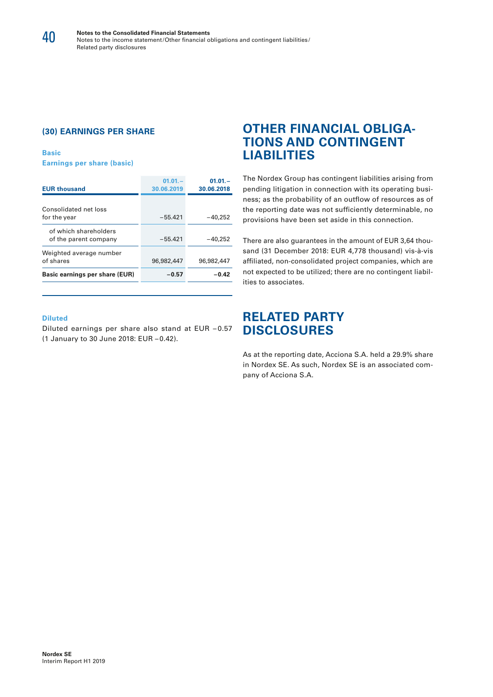#### **(30) EARNINGS PER SHARE**

**Basic Earnings per share (basic)**

| <b>EUR thousand</b>                            | $01.01 -$<br>30.06.2019 | $01.01 -$<br>30.06.2018 |
|------------------------------------------------|-------------------------|-------------------------|
| Consolidated net loss<br>for the year          | $-55.421$               | $-40.252$               |
| of which shareholders<br>of the parent company | $-55.421$               | $-40,252$               |
| Weighted average number<br>of shares           | 96,982,447              | 96,982,447              |
| Basic earnings per share (EUR)                 | $-0.57$                 | $-0.42$                 |

#### **Diluted**

Diluted earnings per share also stand at EUR – 0.57 (1 January to 30 June 2018: EUR – 0.42).

### **OTHER FINANCIAL OBLIGA-TIONS AND CONTINGENT LIABILITIES**

The Nordex Group has contingent liabilities arising from pending litigation in connection with its operating business; as the probability of an outflow of resources as of the reporting date was not sufficiently determinable, no provisions have been set aside in this connection.

There are also guarantees in the amount of EUR 3,64 thousand (31 December 2018: EUR 4,778 thousand) vis-à-vis affiliated, non-consolidated project companies, which are not expected to be utilized; there are no contingent liabilities to associates.

### **RELATED PARTY DISCLOSURES**

As at the reporting date, Acciona S.A. held a 29.9% share in Nordex SE. As such, Nordex SE is an associated company of Acciona S.A.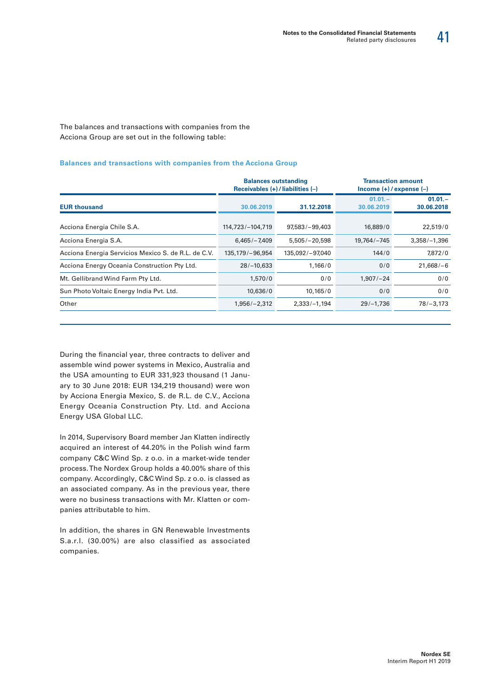41

The balances and transactions with companies from the Acciona Group are set out in the following table:

#### **Balances and transactions with companies from the Acciona Group**

|                                                     | <b>Balances outstanding</b><br>Receivables $(+)$ / liabilities $(-)$ |                  | $lncome (+)/expense (-)$ | <b>Transaction amount</b> |  |
|-----------------------------------------------------|----------------------------------------------------------------------|------------------|--------------------------|---------------------------|--|
| <b>EUR thousand</b>                                 | 30.06.2019                                                           | 31.12.2018       | $01.01 -$<br>30.06.2019  | $01.01 -$<br>30.06.2018   |  |
| Acciona Energia Chile S.A.                          | 114,723/-104,719                                                     | $97,583/-99,403$ | 16,889/0                 | 22,519/0                  |  |
| Acciona Energia S.A.                                | $6.465/-7.409$                                                       | $5.505/-20.598$  | 19,764/-745              | $3,358/-1,396$            |  |
| Acciona Energia Servicios Mexico S. de R.L. de C.V. | 135,179/-96,954                                                      | 135,092/-97,040  | 144/0                    | 7,872/0                   |  |
| Acciona Energy Oceania Construction Pty Ltd.        | $28/-10,633$                                                         | 1,166/0          | 0/0                      | $21,668/-6$               |  |
| Mt. Gellibrand Wind Farm Pty Ltd.                   | 1.570/0                                                              | 0/0              | $1.907/-24$              | 0/0                       |  |
| Sun Photo Voltaic Energy India Pvt. Ltd.            | 10,636/0                                                             | 10,165/0         | 0/0                      | 0/0                       |  |
| Other                                               | $1,956/-2,312$                                                       | $2,333/-1,194$   | $29/-1,736$              | $78/-3,173$               |  |

During the financial year, three contracts to deliver and assemble wind power systems in Mexico, Australia and the USA amounting to EUR 331,923 thousand (1 January to 30 June 2018: EUR 134,219 thousand) were won by Acciona Energia Mexico, S. de R.L. de C.V., Acciona Energy Oceania Construction Pty. Ltd. and Acciona Energy USA Global LLC.

In 2014, Supervisory Board member Jan Klatten indirectly acquired an interest of 44.20% in the Polish wind farm company C&C Wind Sp. z o.o. in a market-wide tender process. The Nordex Group holds a 40.00% share of this company. Accordingly, C&C Wind Sp. z o.o. is classed as an associated company. As in the previous year, there were no business transactions with Mr. Klatten or companies attributable to him.

In addition, the shares in GN Renewable Investments S.a.r.l. (30.00%) are also classified as associated companies.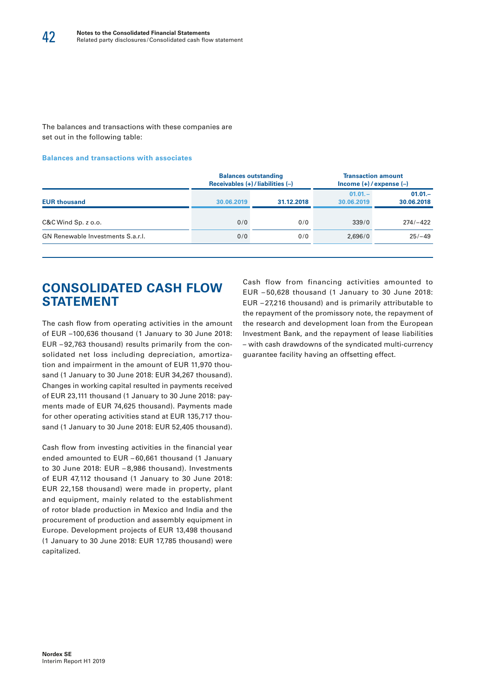The balances and transactions with these companies are set out in the following table:

#### **Balances and transactions with associates**

|                                   |            | <b>Balances outstanding</b><br>Receivables $(+)$ / liabilities $(-)$ | <b>Transaction amount</b><br>$lncome (+)/expense (-)$ |                         |  |  |
|-----------------------------------|------------|----------------------------------------------------------------------|-------------------------------------------------------|-------------------------|--|--|
| <b>EUR thousand</b>               | 30.06.2019 | 31.12.2018                                                           | $01.01 -$<br>30.06.2019                               | $01.01 -$<br>30.06.2018 |  |  |
| $C&C$ Wind $Sp. z 0.0$ .          | 0/0        | 0/0                                                                  | 339/0                                                 | $274/-422$              |  |  |
| GN Renewable Investments S.a.r.l. | 0/0        | 0/0                                                                  | 2,696/0                                               | $25/-49$                |  |  |
|                                   |            |                                                                      |                                                       |                         |  |  |

### **CONSOLIDATED CASH FLOW STATEMENT**

The cash flow from operating activities in the amount of EUR –100,636 thousand (1 January to 30 June 2018: EUR – 92,763 thousand) results primarily from the consolidated net loss including depreciation, amortization and impairment in the amount of EUR 11,970 thousand (1 January to 30 June 2018: EUR 34,267 thousand). Changes in working capital resulted in payments received of EUR 23,111 thousand (1 January to 30 June 2018: payments made of EUR 74,625 thousand). Payments made for other operating activities stand at EUR 135,717 thousand (1 January to 30 June 2018: EUR 52,405 thousand).

Cash flow from investing activities in the financial year ended amounted to EUR – 60,661 thousand (1 January to 30 June 2018: EUR – 8,986 thousand). Investments of EUR 47,112 thousand (1 January to 30 June 2018: EUR 22,158 thousand) were made in property, plant and equipment, mainly related to the establishment of rotor blade production in Mexico and India and the procurement of production and assembly equipment in Europe. Development projects of EUR 13,498 thousand (1 January to 30 June 2018: EUR 17,785 thousand) were capitalized.

Cash flow from financing activities amounted to EUR – 50,628 thousand (1 January to 30 June 2018: EUR – 27,216 thousand) and is primarily attributable to the repayment of the promissory note, the repayment of the research and development loan from the European Investment Bank, and the repayment of lease liabilities – with cash drawdowns of the syndicated multi-currency guarantee facility having an offsetting effect.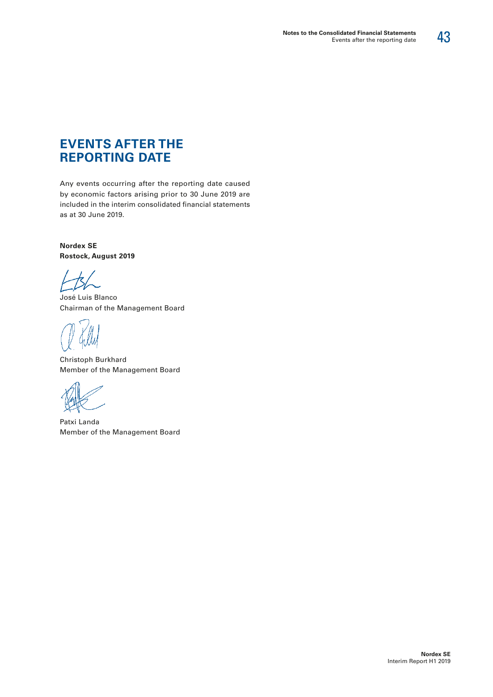# 43

# **EVENTS AFTER THE REPORTING DATE**

Any events occurring after the reporting date caused by economic factors arising prior to 30 June 2019 are included in the interim consolidated financial statements as at 30 June 2019.

**Nordex SE Rostock, August 2019**

José Luis Blanco Chairman of the Management Board

Christoph Burkhard Member of the Management Board

Patxi Landa Member of the Management Board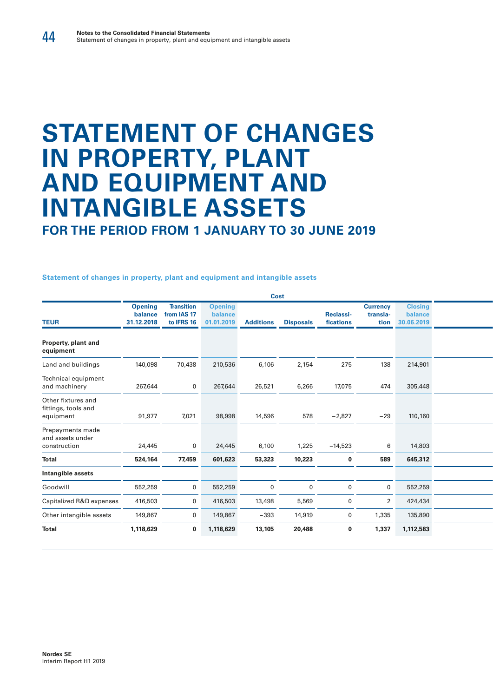# **STATEMENT OF CHANGES IN PROPERTY, PLANT AND EQUIPMENT AND INTANGIBLE ASSETS**

**FOR THE PERIOD FROM 1 JANUARY TO 30 JUNE 2019**

**Statement of changes in property, plant and equipment and intangible assets**

|                                                        |                                         |                                                |                                         | Cost             |                  |                        |                                     |                                         |
|--------------------------------------------------------|-----------------------------------------|------------------------------------------------|-----------------------------------------|------------------|------------------|------------------------|-------------------------------------|-----------------------------------------|
| <b>TEUR</b>                                            | <b>Opening</b><br>balance<br>31.12.2018 | <b>Transition</b><br>from IAS 17<br>to IFRS 16 | <b>Opening</b><br>balance<br>01.01.2019 | <b>Additions</b> | <b>Disposals</b> | Reclassi-<br>fications | <b>Currency</b><br>transla-<br>tion | <b>Closing</b><br>balance<br>30.06.2019 |
| Property, plant and<br>equipment                       |                                         |                                                |                                         |                  |                  |                        |                                     |                                         |
| Land and buildings                                     | 140,098                                 | 70,438                                         | 210,536                                 | 6,106            | 2,154            | 275                    | 138                                 | 214,901                                 |
| Technical equipment<br>and machinery                   | 267,644                                 | $\overline{0}$                                 | 267,644                                 | 26,521           | 6,266            | 17,075                 | 474                                 | 305,448                                 |
| Other fixtures and<br>fittings, tools and<br>equipment | 91,977                                  | 7,021                                          | 98,998                                  | 14,596           | 578              | $-2,827$               | $-29$                               | 110,160                                 |
| Prepayments made<br>and assets under<br>construction   | 24,445                                  | $\overline{0}$                                 | 24,445                                  | 6,100            | 1,225            | $-14,523$              | 6                                   | 14,803                                  |
| <b>Total</b>                                           | 524,164                                 | 77,459                                         | 601,623                                 | 53,323           | 10,223           | 0                      | 589                                 | 645,312                                 |
| Intangible assets                                      |                                         |                                                |                                         |                  |                  |                        |                                     |                                         |
| Goodwill                                               | 552,259                                 | $\overline{0}$                                 | 552,259                                 | $\overline{0}$   | $\mathbf 0$      | $\overline{0}$         | 0                                   | 552,259                                 |
| Capitalized R&D expenses                               | 416,503                                 | $\overline{0}$                                 | 416,503                                 | 13,498           | 5,569            | $\overline{0}$         | $\overline{2}$                      | 424,434                                 |
| Other intangible assets                                | 149,867                                 | $\mathbf 0$                                    | 149,867                                 | $-393$           | 14,919           | $\overline{0}$         | 1,335                               | 135,890                                 |
| <b>Total</b>                                           | 1,118,629                               |                                                | $0$ 1,118,629                           | 13,105           | 20,488           | - 0                    | 1,337                               | 1,112,583                               |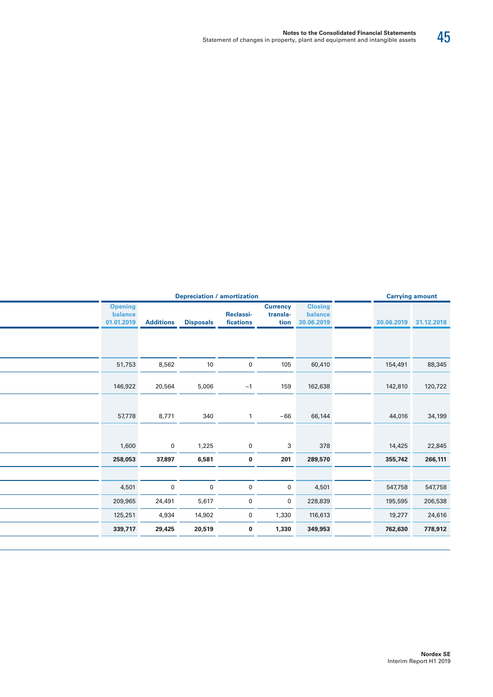| <b>Carrying amount</b> |         | <b>Depreciation / amortization</b>      |                                     |                               |                  |                  |                                         |  |
|------------------------|---------|-----------------------------------------|-------------------------------------|-------------------------------|------------------|------------------|-----------------------------------------|--|
| 30.06.2019 31.12.2018  |         | <b>Closing</b><br>balance<br>30.06.2019 | <b>Currency</b><br>transla-<br>tion | <b>Reclassi-</b><br>fications | <b>Disposals</b> | <b>Additions</b> | <b>Opening</b><br>balance<br>01.01.2019 |  |
|                        |         |                                         |                                     |                               |                  |                  |                                         |  |
| 88,345                 | 154,491 | 60,410                                  | 105                                 | $\mathbf 0$                   | 10               | 8,562            | 51,753                                  |  |
| 120,722                | 142,810 | 162,638                                 | 159                                 | $-1$                          | 5,006            | 20,564           | 146,922                                 |  |
| 34,199                 | 44,016  | 66,144                                  | $-66$                               |                               | 340              | 8,771            | 57,778                                  |  |
| 14,425<br>22,845       |         | 378                                     | 3                                   | $\mathbf 0$                   | 1,225            | $\Omega$         | 1,600                                   |  |
| 266,111                | 355,742 | 289,570                                 | 201                                 | $\mathbf 0$                   | 6,581            | 37,897           | 258,053                                 |  |
|                        |         |                                         |                                     |                               |                  |                  |                                         |  |
| 547,758                | 547,758 | 4,501                                   | $\mathbf 0$                         | $\mathbf 0$                   | $\mathbf 0$      | $\mathbf 0$      | 4,501                                   |  |
| 206,538                | 195,595 | 228,839                                 | $\overline{0}$                      | $\overline{0}$                | 5,617            | 24,491           | 209,965                                 |  |
| 24,616                 | 19,277  | 116,613                                 | 1,330                               | $\overline{0}$                | 14,902           | 4,934            | 125,251                                 |  |
| 778,912                | 762,630 | 349,953                                 | 1,330                               | $\mathbf 0$                   | 20,519           | 29,425           | 339,717                                 |  |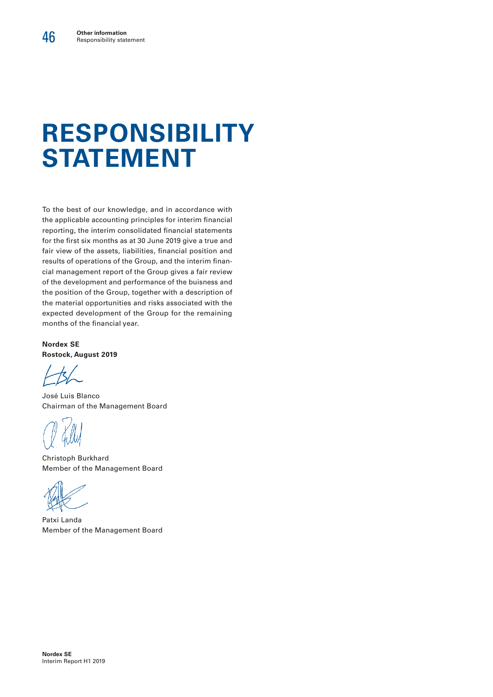# **RESPONSIBILITY STATEMENT**

To the best of our knowledge, and in accordance with the applicable accounting principles for interim financial reporting, the interim consolidated financial statements for the first six months as at 30 June 2019 give a true and fair view of the assets, liabilities, financial position and results of operations of the Group, and the interim financial management report of the Group gives a fair review of the development and performance of the buisness and the position of the Group, together with a description of the material opportunities and risks associated with the expected development of the Group for the remaining months of the financial year.

**Nordex SE Rostock, August 2019**

José Luis Blanco Chairman of the Management Board

Christoph Burkhard Member of the Management Board

Patxi Landa Member of the Management Board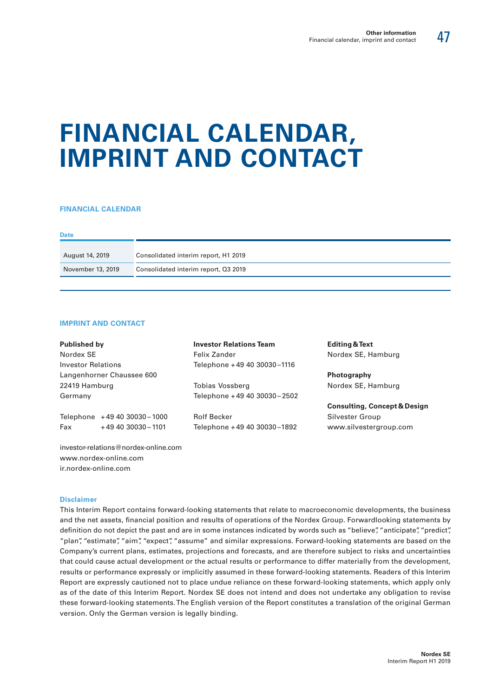# **FINANCIAL CALENDAR, IMPRINT AND CONTACT**

#### **FINANCIAL CALENDAR**

| <b>Date</b>       |                                      |
|-------------------|--------------------------------------|
| August 14, 2019   | Consolidated interim report, H1 2019 |
| November 13, 2019 | Consolidated interim report, Q3 2019 |

#### **IMPRINT AND CONTACT**

| <b>Published by</b>       |                                      | <b>Investor Relations Team</b> | <b>Editing &amp; Text</b>               |
|---------------------------|--------------------------------------|--------------------------------|-----------------------------------------|
| Nordex SE                 |                                      | Felix Zander                   | Nordex SE, Hamburg                      |
| <b>Investor Relations</b> |                                      | Telephone +49 40 30030–1116    |                                         |
| Langenhorner Chaussee 600 |                                      |                                | <b>Photography</b>                      |
| 22419 Hamburg             |                                      | Tobias Vossberg                | Nordex SE, Hamburg                      |
| Germany                   |                                      | Telephone +49 40 30030-2502    |                                         |
|                           |                                      |                                | <b>Consulting, Concept &amp; Design</b> |
|                           | Telephone +49 40 30030-1000          | <b>Rolf Becker</b>             | Silvester Group                         |
| Fax                       | +49 40 30030 - 1101                  | Telephone +49 40 30030-1892    | www.silvestergroup.com                  |
|                           | investor-relations@nordex-online.com |                                |                                         |

www.nordex-online.com ir.nordex-online.com

#### **Disclaimer**

This Interim Report contains forward-looking statements that relate to macroeconomic developments, the business and the net assets, financial position and results of operations of the Nordex Group. Forwardlooking statements by definition do not depict the past and are in some instances indicated by words such as "believe", "anticipate", "predict", "plan", "estimate", "aim", "expect", "assume" and similar expressions. Forward-looking statements are based on the Company's current plans, estimates, projections and forecasts, and are therefore subject to risks and uncertainties that could cause actual development or the actual results or performance to differ materially from the development, results or performance expressly or implicitly assumed in these forward-looking statements. Readers of this Interim Report are expressly cautioned not to place undue reliance on these forward-looking statements, which apply only as of the date of this Interim Report. Nordex SE does not intend and does not undertake any obligation to revise these forward-looking statements. The English version of the Report constitutes a translation of the original German version. Only the German version is legally binding.